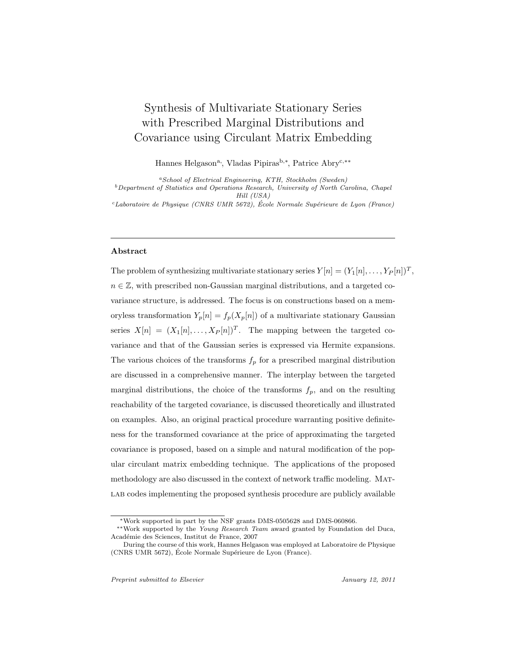# Synthesis of Multivariate Stationary Series with Prescribed Marginal Distributions and Covariance using Circulant Matrix Embedding

Hannes Helgason<sup>a</sup>, Vladas Pipiras<sup>b,∗</sup>, Patrice Abry<sup>c,</sup>\*\*

*<sup>a</sup>School of Electrical Engineering, KTH, Stockholm (Sweden) <sup>b</sup>Department of Statistics and Operations Research, University of North Carolina, Chapel Hill (USA)*

*<sup>c</sup>Laboratoire de Physique (CNRS UMR 5672), Ecole Normale Sup´erieure de Lyon (France) ´*

# Abstract

The problem of synthesizing multivariate stationary series  $Y[n]=(Y_1[n],\ldots,Y_P[n])^T$ ,  $n \in \mathbb{Z}$ , with prescribed non-Gaussian marginal distributions, and a targeted covariance structure, is addressed. The focus is on constructions based on a memoryless transformation  $Y_p[n] = f_p(X_p[n])$  of a multivariate stationary Gaussian series  $X[n]=(X_1[n],\ldots,X_P [n])^T$ . The mapping between the targeted covariance and that of the Gaussian series is expressed via Hermite expansions. The various choices of the transforms  $f_p$  for a prescribed marginal distribution are discussed in a comprehensive manner. The interplay between the targeted marginal distributions, the choice of the transforms  $f_p$ , and on the resulting reachability of the targeted covariance, is discussed theoretically and illustrated on examples. Also, an original practical procedure warranting positive definiteness for the transformed covariance at the price of approximating the targeted covariance is proposed, based on a simple and natural modification of the popular circulant matrix embedding technique. The applications of the proposed methodology are also discussed in the context of network traffic modeling. Mat-LAB codes implementing the proposed synthesis procedure are publicly available

<sup>∗</sup>Work supported in part by the NSF grants DMS-0505628 and DMS-060866.

<sup>∗∗</sup>Work supported by the *Young Research Team* award granted by Foundation del Duca, Acad´emie des Sciences, Institut de France, 2007

During the course of this work, Hannes Helgason was employed at Laboratoire de Physique (CNRS UMR 5672), École Normale Supérieure de Lyon (France).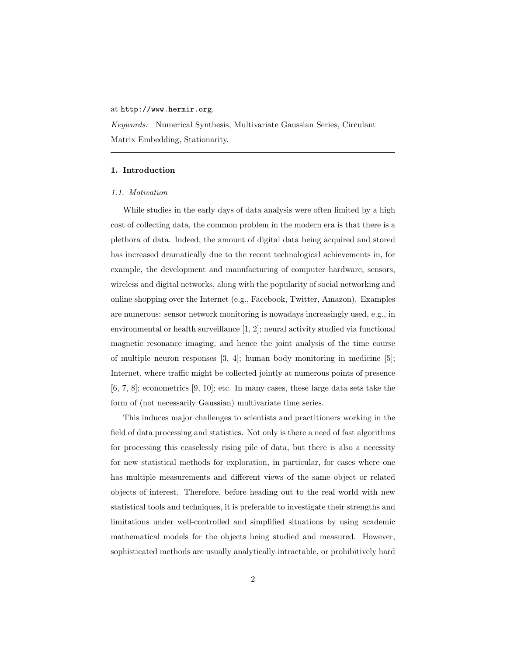# at http://www.hermir.org.

Keywords: Numerical Synthesis, Multivariate Gaussian Series, Circulant Matrix Embedding, Stationarity.

# 1. Introduction

### 1.1. Motivation

While studies in the early days of data analysis were often limited by a high cost of collecting data, the common problem in the modern era is that there is a plethora of data. Indeed, the amount of digital data being acquired and stored has increased dramatically due to the recent technological achievements in, for example, the development and manufacturing of computer hardware, sensors, wireless and digital networks, along with the popularity of social networking and online shopping over the Internet (e.g., Facebook, Twitter, Amazon). Examples are numerous: sensor network monitoring is nowadays increasingly used, e.g., in environmental or health surveillance [1, 2]; neural activity studied via functional magnetic resonance imaging, and hence the joint analysis of the time course of multiple neuron responses  $[3, 4]$ ; human body monitoring in medicine  $[5]$ ; Internet, where traffic might be collected jointly at numerous points of presence [6, 7, 8]; econometrics [9, 10]; etc. In many cases, these large data sets take the form of (not necessarily Gaussian) multivariate time series.

This induces major challenges to scientists and practitioners working in the field of data processing and statistics. Not only is there a need of fast algorithms for processing this ceaselessly rising pile of data, but there is also a necessity for new statistical methods for exploration, in particular, for cases where one has multiple measurements and different views of the same object or related objects of interest. Therefore, before heading out to the real world with new statistical tools and techniques, it is preferable to investigate their strengths and limitations under well-controlled and simplified situations by using academic mathematical models for the objects being studied and measured. However, sophisticated methods are usually analytically intractable, or prohibitively hard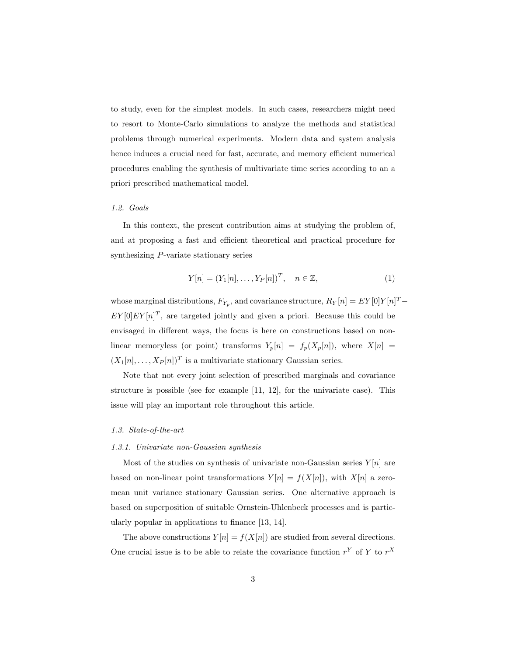to study, even for the simplest models. In such cases, researchers might need to resort to Monte-Carlo simulations to analyze the methods and statistical problems through numerical experiments. Modern data and system analysis hence induces a crucial need for fast, accurate, and memory efficient numerical procedures enabling the synthesis of multivariate time series according to an a priori prescribed mathematical model.

# 1.2. Goals

In this context, the present contribution aims at studying the problem of, and at proposing a fast and efficient theoretical and practical procedure for synthesizing P-variate stationary series

$$
Y[n] = (Y_1[n], \dots, Y_P[n])^T, \quad n \in \mathbb{Z},
$$
\n(1)

whose marginal distributions,  $F_{Y_p}$ , and covariance structure,  $R_Y[n] = E[Y[0]Y[n]^T E[Y[0]E[Y[n]^T]$ , are targeted jointly and given a priori. Because this could be envisaged in different ways, the focus is here on constructions based on nonlinear memoryless (or point) transforms  $Y_p[n] = f_p(X_p[n])$ , where  $X[n] =$  $(X_1[n],...,X_P[n])^T$  is a multivariate stationary Gaussian series.

Note that not every joint selection of prescribed marginals and covariance structure is possible (see for example [11, 12], for the univariate case). This issue will play an important role throughout this article.

## 1.3. State-of-the-art

### 1.3.1. Univariate non-Gaussian synthesis

Most of the studies on synthesis of univariate non-Gaussian series  $Y[n]$  are based on non-linear point transformations  $Y[n] = f(X[n])$ , with  $X[n]$  a zeromean unit variance stationary Gaussian series. One alternative approach is based on superposition of suitable Ornstein-Uhlenbeck processes and is particularly popular in applications to finance [13, 14].

The above constructions  $Y[n] = f(X[n])$  are studied from several directions. One crucial issue is to be able to relate the covariance function  $r^Y$  of Y to  $r^X$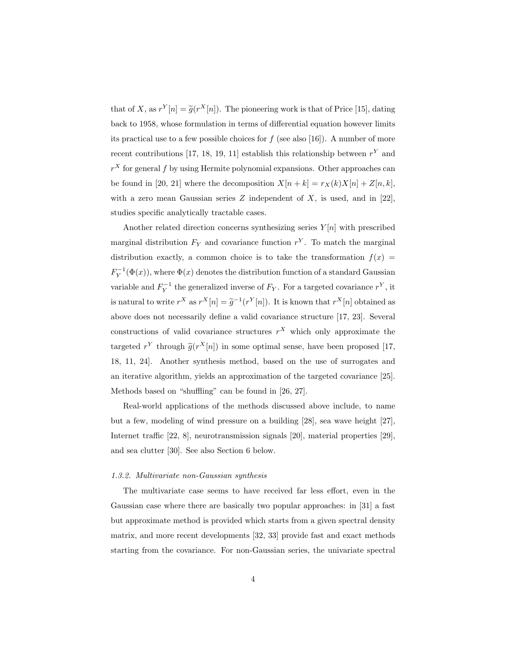that of X, as  $r^{Y}[n] = \tilde{g}(r^{X}[n])$ . The pioneering work is that of Price [15], dating back to 1958, whose formulation in terms of differential equation however limits its practical use to a few possible choices for  $f$  (see also [16]). A number of more recent contributions [17, 18, 19, 11] establish this relationship between  $r<sup>Y</sup>$  and  $r^X$  for general f by using Hermite polynomial expansions. Other approaches can be found in [20, 21] where the decomposition  $X[n + k] = r_X(k)X[n] + Z[n, k],$ with a zero mean Gaussian series  $Z$  independent of  $X$ , is used, and in [22], studies specific analytically tractable cases.

Another related direction concerns synthesizing series  $Y[n]$  with prescribed marginal distribution  $F_Y$  and covariance function  $r^Y$ . To match the marginal distribution exactly, a common choice is to take the transformation  $f(x) =$  $F_Y^{-1}(\Phi(x))$ , where  $\Phi(x)$  denotes the distribution function of a standard Gaussian variable and  $F_Y^{-1}$  the generalized inverse of  $F_Y$ . For a targeted covariance  $r^Y$ , it is natural to write  $r^X$  as  $r^X[n] = \tilde{g}^{-1}(r^Y[n])$ . It is known that  $r^X[n]$  obtained as above does not necessarily define a valid covariance structure [17, 23]. Several constructions of valid covariance structures  $r^X$  which only approximate the targeted  $r^Y$  through  $\tilde{g}(r^X[n])$  in some optimal sense, have been proposed [17, 18, 11, 24]. Another synthesis method, based on the use of surrogates and an iterative algorithm, yields an approximation of the targeted covariance [25]. Methods based on "shuffling" can be found in [26, 27].

Real-world applications of the methods discussed above include, to name but a few, modeling of wind pressure on a building [28], sea wave height [27], Internet traffic [22, 8], neurotransmission signals [20], material properties [29], and sea clutter [30]. See also Section 6 below.

#### 1.3.2. Multivariate non-Gaussian synthesis

The multivariate case seems to have received far less effort, even in the Gaussian case where there are basically two popular approaches: in [31] a fast but approximate method is provided which starts from a given spectral density matrix, and more recent developments [32, 33] provide fast and exact methods starting from the covariance. For non-Gaussian series, the univariate spectral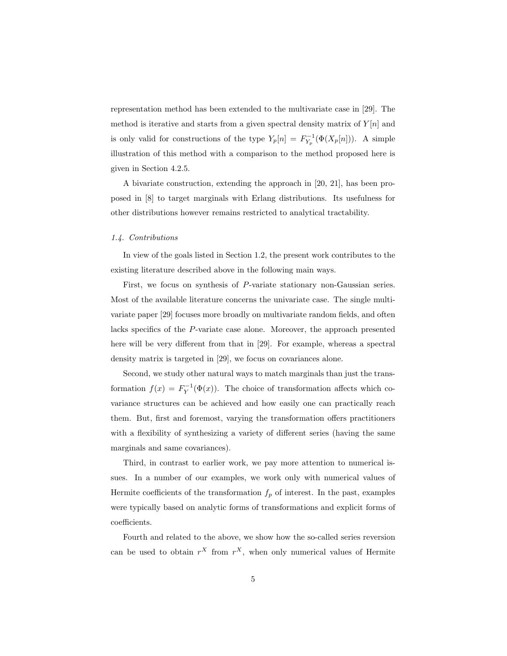representation method has been extended to the multivariate case in [29]. The method is iterative and starts from a given spectral density matrix of  $Y[n]$  and is only valid for constructions of the type  $Y_p[n] = F_{Y_p}^{-1}(\Phi(X_p[n]))$ . A simple illustration of this method with a comparison to the method proposed here is given in Section 4.2.5.

A bivariate construction, extending the approach in [20, 21], has been proposed in [8] to target marginals with Erlang distributions. Its usefulness for other distributions however remains restricted to analytical tractability.

# 1.4. Contributions

In view of the goals listed in Section 1.2, the present work contributes to the existing literature described above in the following main ways.

First, we focus on synthesis of P-variate stationary non-Gaussian series. Most of the available literature concerns the univariate case. The single multivariate paper [29] focuses more broadly on multivariate random fields, and often lacks specifics of the P-variate case alone. Moreover, the approach presented here will be very different from that in [29]. For example, whereas a spectral density matrix is targeted in [29], we focus on covariances alone.

Second, we study other natural ways to match marginals than just the transformation  $f(x) = F_Y^{-1}(\Phi(x))$ . The choice of transformation affects which covariance structures can be achieved and how easily one can practically reach them. But, first and foremost, varying the transformation offers practitioners with a flexibility of synthesizing a variety of different series (having the same marginals and same covariances).

Third, in contrast to earlier work, we pay more attention to numerical issues. In a number of our examples, we work only with numerical values of Hermite coefficients of the transformation  $f_p$  of interest. In the past, examples were typically based on analytic forms of transformations and explicit forms of coefficients.

Fourth and related to the above, we show how the so-called series reversion can be used to obtain  $r^X$  from  $r^X$ , when only numerical values of Hermite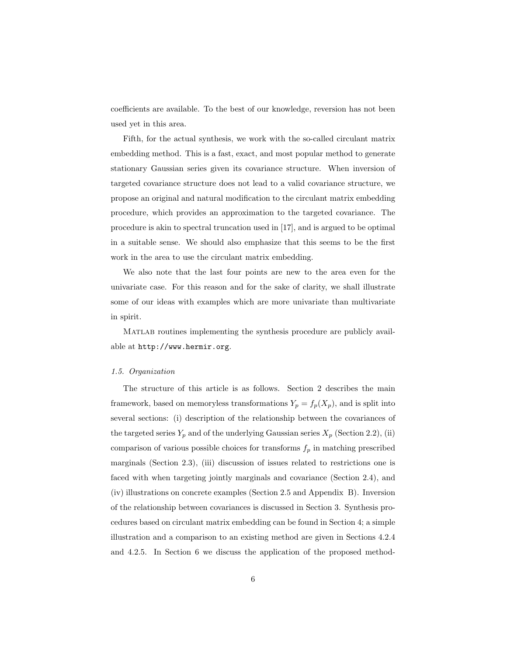coefficients are available. To the best of our knowledge, reversion has not been used yet in this area.

Fifth, for the actual synthesis, we work with the so-called circulant matrix embedding method. This is a fast, exact, and most popular method to generate stationary Gaussian series given its covariance structure. When inversion of targeted covariance structure does not lead to a valid covariance structure, we propose an original and natural modification to the circulant matrix embedding procedure, which provides an approximation to the targeted covariance. The procedure is akin to spectral truncation used in [17], and is argued to be optimal in a suitable sense. We should also emphasize that this seems to be the first work in the area to use the circulant matrix embedding.

We also note that the last four points are new to the area even for the univariate case. For this reason and for the sake of clarity, we shall illustrate some of our ideas with examples which are more univariate than multivariate in spirit.

Matlab routines implementing the synthesis procedure are publicly available at http://www.hermir.org.

### 1.5. Organization

The structure of this article is as follows. Section 2 describes the main framework, based on memoryless transformations  $Y_p = f_p(X_p)$ , and is split into several sections: (i) description of the relationship between the covariances of the targeted series  $Y_p$  and of the underlying Gaussian series  $X_p$  (Section 2.2), (ii) comparison of various possible choices for transforms  $f_p$  in matching prescribed marginals (Section 2.3), (iii) discussion of issues related to restrictions one is faced with when targeting jointly marginals and covariance (Section 2.4), and (iv) illustrations on concrete examples (Section 2.5 and Appendix B). Inversion of the relationship between covariances is discussed in Section 3. Synthesis procedures based on circulant matrix embedding can be found in Section 4; a simple illustration and a comparison to an existing method are given in Sections 4.2.4 and 4.2.5. In Section 6 we discuss the application of the proposed method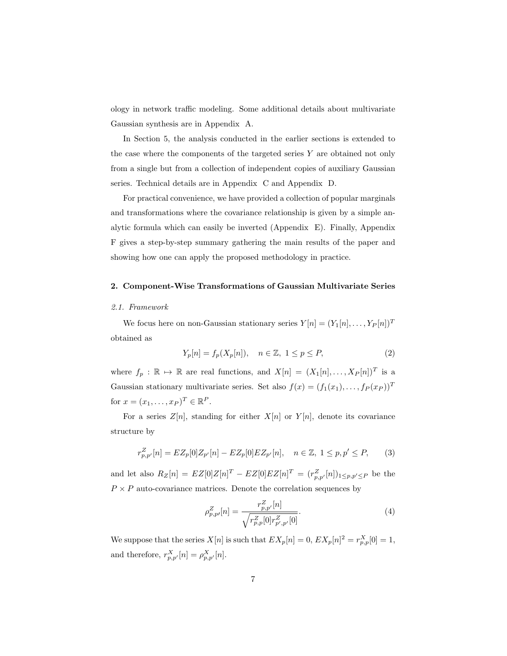ology in network traffic modeling. Some additional details about multivariate Gaussian synthesis are in Appendix A.

In Section 5, the analysis conducted in the earlier sections is extended to the case where the components of the targeted series  $Y$  are obtained not only from a single but from a collection of independent copies of auxiliary Gaussian series. Technical details are in Appendix C and Appendix D.

For practical convenience, we have provided a collection of popular marginals and transformations where the covariance relationship is given by a simple analytic formula which can easily be inverted (Appendix E). Finally, Appendix F gives a step-by-step summary gathering the main results of the paper and showing how one can apply the proposed methodology in practice.

# 2. Component-Wise Transformations of Gaussian Multivariate Series

### 2.1. Framework

We focus here on non-Gaussian stationary series  $Y[n]=(Y_1[n],\ldots,Y_P [n])^T$ obtained as

$$
Y_p[n] = f_p(X_p[n]), \quad n \in \mathbb{Z}, \ 1 \le p \le P,\tag{2}
$$

where  $f_p : \mathbb{R} \to \mathbb{R}$  are real functions, and  $X[n] = (X_1[n], \ldots, X_P[n])^T$  is a Gaussian stationary multivariate series. Set also  $f(x)=(f_1(x_1),...,f_P(x_P))^T$ for  $x = (x_1, \ldots, x_P)^T \in \mathbb{R}^P$ .

For a series  $Z[n]$ , standing for either  $X[n]$  or  $Y[n]$ , denote its covariance structure by

$$
r_{p,p'}^Z[n] = EZ_p[0]Z_{p'}[n] - EZ_p[0]EZ_{p'}[n], \quad n \in \mathbb{Z}, \ 1 \le p, p' \le P,\tag{3}
$$

and let also  $R_Z[n] = EZ[0]Z[n]^T - EZ[0]EZ[n]^T = (r_{p,p'}^Z[n])_{1 \leq p,p' \leq P}$  be the  $P \times P$  auto-covariance matrices. Denote the correlation sequences by

$$
\rho_{p,p'}^Z[n] = \frac{r_{p,p'}^Z[n]}{\sqrt{r_{p,p}^Z[0]r_{p',p'}^Z[0]}}.\tag{4}
$$

We suppose that the series  $X[n]$  is such that  $EX_p[n] = 0$ ,  $EX_p[n]^2 = r_{p,p}^X[0] = 1$ , and therefore,  $r_{p,p'}^X[n] = \rho_{p,p'}^X[n]$ .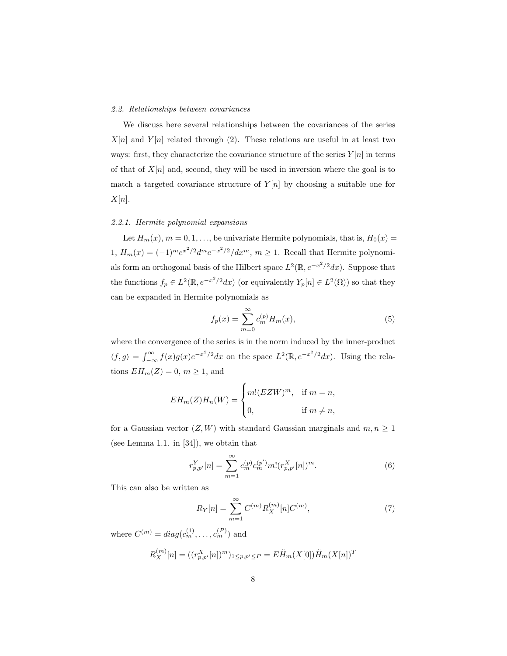# 2.2. Relationships between covariances

We discuss here several relationships between the covariances of the series  $X[n]$  and  $Y[n]$  related through (2). These relations are useful in at least two ways: first, they characterize the covariance structure of the series  $Y[n]$  in terms of that of  $X[n]$  and, second, they will be used in inversion where the goal is to match a targeted covariance structure of  $Y[n]$  by choosing a suitable one for  $X[n].$ 

# 2.2.1. Hermite polynomial expansions

Let  $H_m(x)$ ,  $m = 0, 1, \ldots$ , be univariate Hermite polynomials, that is,  $H_0(x) =$ 1,  $H_m(x)=(-1)^me^{x^2/2}d^me^{-x^2/2}/dx^m$ ,  $m\geq 1$ . Recall that Hermite polynomials form an orthogonal basis of the Hilbert space  $L^2(\mathbb{R}, e^{-x^2/2}dx)$ . Suppose that the functions  $f_p \in L^2(\mathbb{R}, e^{-x^2/2}dx)$  (or equivalently  $Y_p[n] \in L^2(\Omega)$ ) so that they can be expanded in Hermite polynomials as

$$
f_p(x) = \sum_{m=0}^{\infty} c_m^{(p)} H_m(x),
$$
 (5)

where the convergence of the series is in the norm induced by the inner-product  $\langle f,g \rangle = \int_{-\infty}^{\infty} f(x)g(x)e^{-x^2/2}dx$  on the space  $L^2(\mathbb{R}, e^{-x^2/2}dx)$ . Using the relations  $EH_m(Z) = 0, m \ge 1$ , and

$$
EH_m(Z)H_n(W) = \begin{cases} m!(EZW)^m, & \text{if } m = n, \\ 0, & \text{if } m \neq n, \end{cases}
$$

for a Gaussian vector  $(Z, W)$  with standard Gaussian marginals and  $m, n \geq 1$ (see Lemma 1.1. in [34]), we obtain that

$$
r_{p,p'}^Y[n] = \sum_{m=1}^{\infty} c_m^{(p)} c_m^{(p')} m! (r_{p,p'}^X[n])^m.
$$
 (6)

This can also be written as

$$
R_Y[n] = \sum_{m=1}^{\infty} C^{(m)} R_X^{(m)}[n] C^{(m)},
$$
\n(7)

where  $C^{(m)} = diag(c_m^{(1)}, \ldots, c_m^{(P)})$  and

$$
R_X^{(m)}[n] = ((r_{p,p'}^X[n])^m)_{1 \le p,p' \le P} = E\tilde{H}_m(X[0])\tilde{H}_m(X[n])^T
$$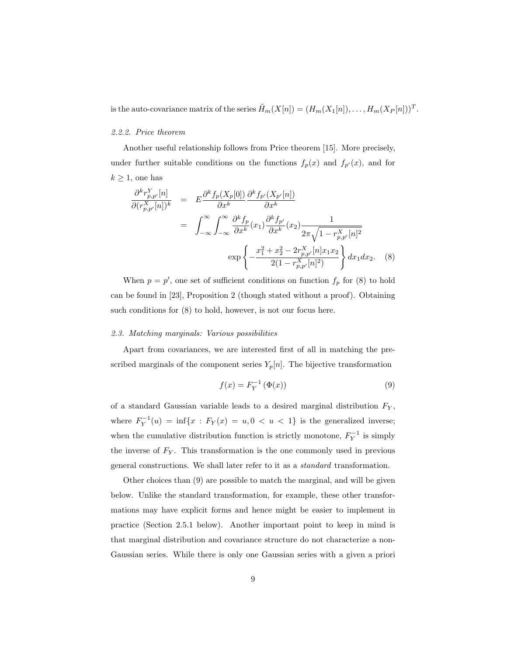is the auto-covariance matrix of the series  $\tilde{H}_m(X[n]) = (H_m(X_1[n]), \ldots, H_m(X_P[n]))^T$ .

# 2.2.2. Price theorem

Another useful relationship follows from Price theorem [15]. More precisely, under further suitable conditions on the functions  $f_p(x)$  and  $f_{p'}(x)$ , and for  $k \geq 1$ , one has

$$
\frac{\partial^k r_{p,p'}^Y[n]}{\partial (r_{p,p'}^X[n])^k} = E \frac{\partial^k f_p(X_p[0])}{\partial x^k} \frac{\partial^k f_{p'}(X_{p'}[n])}{\partial x^k}
$$
\n
$$
= \int_{-\infty}^{\infty} \int_{-\infty}^{\infty} \frac{\partial^k f_p(x_1) \frac{\partial^k f_{p'}}{\partial x^k}(x_2)}{\partial x^k} \frac{1}{2\pi \sqrt{1 - r_{p,p'}^X[n]^2}}
$$
\n
$$
\exp \left\{ -\frac{x_1^2 + x_2^2 - 2r_{p,p'}^X[n]x_1 x_2}{2(1 - r_{p,p'}^X[n]^2)} \right\} dx_1 dx_2. \quad (8)
$$

When  $p = p'$ , one set of sufficient conditions on function  $f_p$  for (8) to hold can be found in [23], Proposition 2 (though stated without a proof). Obtaining such conditions for (8) to hold, however, is not our focus here.

#### 2.3. Matching marginals: Various possibilities

Apart from covariances, we are interested first of all in matching the prescribed marginals of the component series  $Y_p[n]$ . The bijective transformation

$$
f(x) = F_Y^{-1} \left( \Phi(x) \right) \tag{9}
$$

of a standard Gaussian variable leads to a desired marginal distribution  $F_Y$ , where  $F_Y^{-1}(u) = \inf\{x : F_Y(x) = u, 0 < u < 1\}$  is the generalized inverse; when the cumulative distribution function is strictly monotone,  $F_Y^{-1}$  is simply the inverse of  $F_Y$ . This transformation is the one commonly used in previous general constructions. We shall later refer to it as a standard transformation.

Other choices than (9) are possible to match the marginal, and will be given below. Unlike the standard transformation, for example, these other transformations may have explicit forms and hence might be easier to implement in practice (Section 2.5.1 below). Another important point to keep in mind is that marginal distribution and covariance structure do not characterize a non-Gaussian series. While there is only one Gaussian series with a given a priori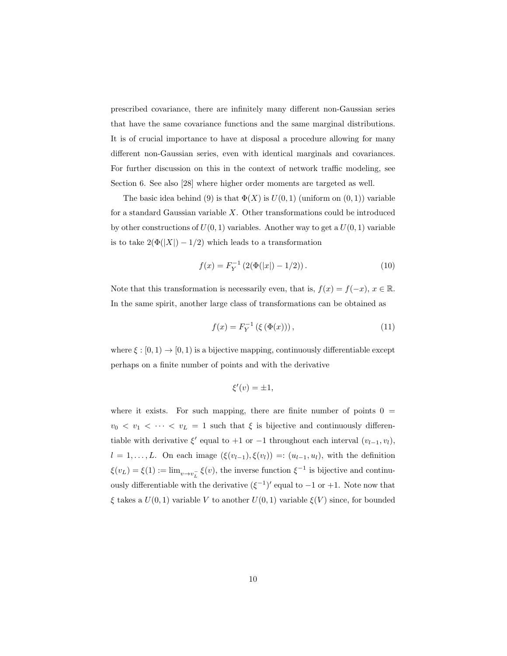prescribed covariance, there are infinitely many different non-Gaussian series that have the same covariance functions and the same marginal distributions. It is of crucial importance to have at disposal a procedure allowing for many different non-Gaussian series, even with identical marginals and covariances. For further discussion on this in the context of network traffic modeling, see Section 6. See also [28] where higher order moments are targeted as well.

The basic idea behind (9) is that  $\Phi(X)$  is  $U(0,1)$  (uniform on  $(0,1)$ ) variable for a standard Gaussian variable  $X$ . Other transformations could be introduced by other constructions of  $U(0, 1)$  variables. Another way to get a  $U(0, 1)$  variable is to take  $2(\Phi(|X|) - 1/2)$  which leads to a transformation

$$
f(x) = F_Y^{-1} \left( 2(\Phi(|x|) - 1/2) \right). \tag{10}
$$

Note that this transformation is necessarily even, that is,  $f(x) = f(-x)$ ,  $x \in \mathbb{R}$ . In the same spirit, another large class of transformations can be obtained as

$$
f(x) = F_Y^{-1} (\xi (\Phi(x))), \qquad (11)
$$

where  $\xi : [0,1) \to [0,1)$  is a bijective mapping, continuously differentiable except perhaps on a finite number of points and with the derivative

$$
\xi'(v) = \pm 1,
$$

where it exists. For such mapping, there are finite number of points  $0 =$  $v_0 \le v_1 \le \cdots \le v_L = 1$  such that  $\xi$  is bijective and continuously differentiable with derivative  $\xi'$  equal to +1 or −1 throughout each interval  $(v_{l-1}, v_l)$ ,  $l = 1, \ldots, L$ . On each image  $(\xi(v_{l-1}), \xi(v_l)) =: (u_{l-1}, u_l)$ , with the definition  $\xi(v_L) = \xi(1) := \lim_{v \to v_L^-} \xi(v)$ , the inverse function  $\xi^{-1}$  is bijective and continuously differentiable with the derivative  $(\xi^{-1})'$  equal to  $-1$  or  $+1$ . Note now that  $\xi$  takes a  $U(0,1)$  variable V to another  $U(0,1)$  variable  $\xi(V)$  since, for bounded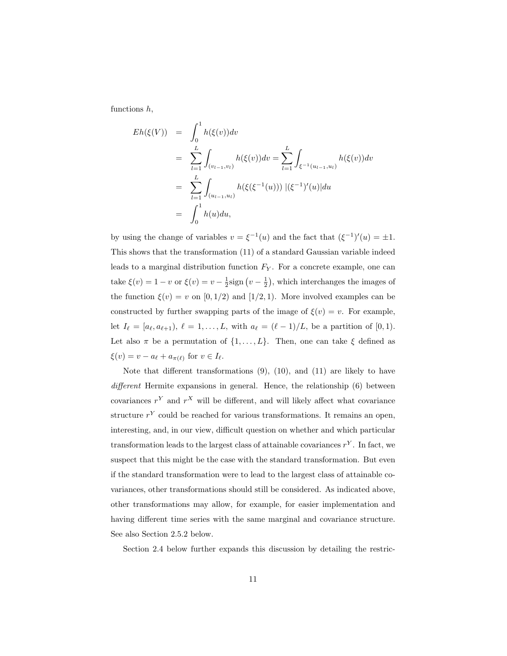functions h,

$$
Eh(\xi(V)) = \int_0^1 h(\xi(v))dv
$$
  
= 
$$
\sum_{l=1}^L \int_{(v_{l-1}, v_l)} h(\xi(v))dv = \sum_{l=1}^L \int_{\xi^{-1}(u_{l-1}, u_l)} h(\xi(v))dv
$$
  
= 
$$
\sum_{l=1}^L \int_{(u_{l-1}, u_l)} h(\xi(\xi^{-1}(u))) |(\xi^{-1})'(u)|du
$$
  
= 
$$
\int_0^1 h(u)du,
$$

by using the change of variables  $v = \xi^{-1}(u)$  and the fact that  $(\xi^{-1})'(u) = \pm 1$ . This shows that the transformation (11) of a standard Gaussian variable indeed leads to a marginal distribution function  $F_Y$ . For a concrete example, one can take  $\xi(v) = 1 - v$  or  $\xi(v) = v - \frac{1}{2}$ sign  $(v - \frac{1}{2})$ , which interchanges the images of the function  $\xi(v) = v$  on  $[0, 1/2)$  and  $[1/2, 1)$ . More involved examples can be constructed by further swapping parts of the image of  $\xi(v) = v$ . For example, let  $I_{\ell} = [a_{\ell}, a_{\ell+1}), \ell = 1, ..., L$ , with  $a_{\ell} = (\ell - 1)/L$ , be a partition of [0,1). Let also  $\pi$  be a permutation of  $\{1,\ldots,L\}$ . Then, one can take  $\xi$  defined as  $\xi(v) = v - a_\ell + a_{\pi(\ell)}$  for  $v \in I_\ell$ .

Note that different transformations  $(9)$ ,  $(10)$ , and  $(11)$  are likely to have different Hermite expansions in general. Hence, the relationship (6) between covariances  $r^Y$  and  $r^X$  will be different, and will likely affect what covariance structure  $r<sup>Y</sup>$  could be reached for various transformations. It remains an open, interesting, and, in our view, difficult question on whether and which particular transformation leads to the largest class of attainable covariances  $r^Y$ . In fact, we suspect that this might be the case with the standard transformation. But even if the standard transformation were to lead to the largest class of attainable covariances, other transformations should still be considered. As indicated above, other transformations may allow, for example, for easier implementation and having different time series with the same marginal and covariance structure. See also Section 2.5.2 below.

Section 2.4 below further expands this discussion by detailing the restric-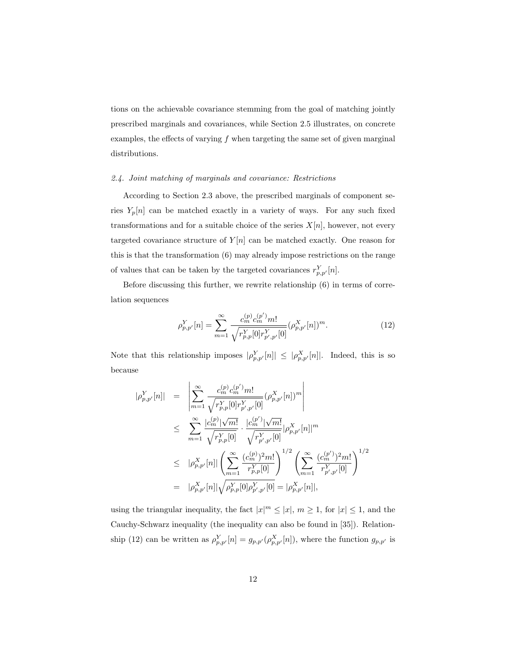tions on the achievable covariance stemming from the goal of matching jointly prescribed marginals and covariances, while Section 2.5 illustrates, on concrete examples, the effects of varying  $f$  when targeting the same set of given marginal distributions.

# 2.4. Joint matching of marginals and covariance: Restrictions

According to Section 2.3 above, the prescribed marginals of component series  $Y_p[n]$  can be matched exactly in a variety of ways. For any such fixed transformations and for a suitable choice of the series  $X[n]$ , however, not every targeted covariance structure of  $Y[n]$  can be matched exactly. One reason for this is that the transformation (6) may already impose restrictions on the range of values that can be taken by the targeted covariances  $r_{p,p'}^Y[n]$ .

Before discussing this further, we rewrite relationship (6) in terms of correlation sequences

$$
\rho_{p,p'}^Y[n] = \sum_{m=1}^{\infty} \frac{c_m^{(p)} c_m^{(p')} m!}{\sqrt{r_{p,p}^Y[0] r_{p',p'}^Y[0]}} (\rho_{p,p'}^X[n])^m.
$$
\n(12)

Note that this relationship imposes  $|\rho_{p,p'}^Y[n]| \leq |\rho_{p,p'}^X[n]|$ . Indeed, this is so because

$$
\begin{array}{rcl}\n|\rho_{p,p'}^{Y}[n] & = & \left| \sum_{m=1}^{\infty} \frac{c_m^{(p)} c_m^{(p')} m!}{\sqrt{r_{p,p}^{Y}[0] r_{p',p'}^{Y}[0]}} (\rho_{p,p'}^{X}[n])^m \right| \\
& \leq & \sum_{m=1}^{\infty} \frac{|c_m^{(p)}| \sqrt{m!}}{\sqrt{r_{p,p}^{Y}[0]}} \cdot \frac{|c_m^{(p')}| \sqrt{m!}}{\sqrt{r_{p',p'}^{Y}[0]}} |\rho_{p,p'}^{X}[n]|^m \\
& \leq & |\rho_{p,p'}^{X}[n]| \left( \sum_{m=1}^{\infty} \frac{(c_m^{(p)})^2 m!}{r_{p,p}^{Y}[0]} \right)^{1/2} \left( \sum_{m=1}^{\infty} \frac{(c_m^{(p')})^2 m!}{r_{p',p'}^{Y}[0]} \right)^{1/2} \\
& = & |\rho_{p,p'}^{X}[n]| \sqrt{\rho_{p,p}^{Y}[0] \rho_{p',p'}^{Y}[0]} = |\rho_{p,p'}^{X}[n]|,\n\end{array}
$$

using the triangular inequality, the fact  $|x|^m \le |x|, m \ge 1$ , for  $|x| \le 1$ , and the Cauchy-Schwarz inequality (the inequality can also be found in [35]). Relationship (12) can be written as  $\rho_{p,p'}^Y[n] = g_{p,p'}(\rho_{p,p'}^X[n])$ , where the function  $g_{p,p'}$  is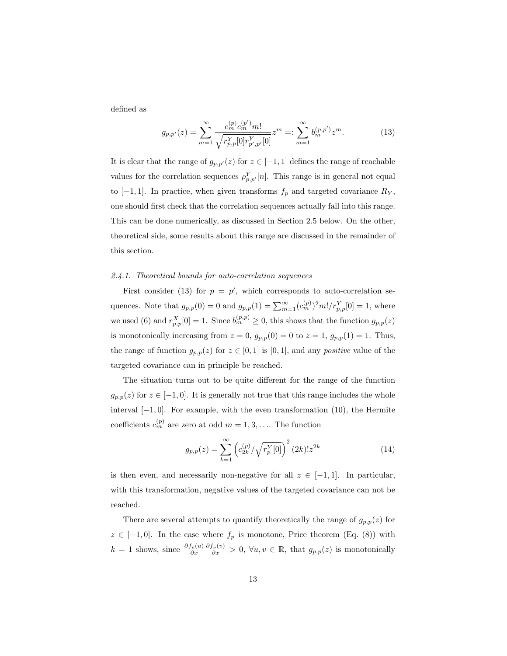defined as

$$
g_{p,p'}(z) = \sum_{m=1}^{\infty} \frac{c_m^{(p)} c_m^{(p')} m!}{\sqrt{r_{p,p}^Y[0] r_{p',p'}^Y[0]}} z^m =: \sum_{m=1}^{\infty} b_m^{(p,p')} z^m.
$$
 (13)

It is clear that the range of  $g_{p,p'}(z)$  for  $z \in [-1,1]$  defines the range of reachable values for the correlation sequences  $\rho_{p,p'}^Y[n]$ . This range is in general not equal to  $[-1, 1]$ . In practice, when given transforms  $f_p$  and targeted covariance  $R_Y$ , one should first check that the correlation sequences actually fall into this range. This can be done numerically, as discussed in Section 2.5 below. On the other, theoretical side, some results about this range are discussed in the remainder of this section.

# 2.4.1. Theoretical bounds for auto-correlation sequences

First consider (13) for  $p = p'$ , which corresponds to auto-correlation sequences. Note that  $g_{p,p}(0) = 0$  and  $g_{p,p}(1) = \sum_{m=1}^{\infty} (c_m^{(p)})^2 m! / r_{p,p}^Y[0] = 1$ , where we used (6) and  $r_{p,p}^X[0] = 1$ . Since  $b_m^{(p,p)} \ge 0$ , this shows that the function  $g_{p,p}(z)$ is monotonically increasing from  $z = 0$ ,  $g_{p,p}(0) = 0$  to  $z = 1$ ,  $g_{p,p}(1) = 1$ . Thus, the range of function  $g_{p,p}(z)$  for  $z \in [0,1]$  is  $[0,1]$ , and any *positive* value of the targeted covariance can in principle be reached.

The situation turns out to be quite different for the range of the function  $g_{p,p}(z)$  for  $z \in [-1,0]$ . It is generally not true that this range includes the whole interval  $[-1, 0]$ . For example, with the even transformation (10), the Hermite coefficients  $c_m^{(p)}$  are zero at odd  $m = 1, 3, \ldots$  The function

$$
g_{p,p}(z) = \sum_{k=1}^{\infty} \left( c_{2k}^{(p)} / \sqrt{r_p^Y[0]} \right)^2 (2k)! z^{2k}
$$
 (14)

is then even, and necessarily non-negative for all  $z \in [-1,1]$ . In particular, with this transformation, negative values of the targeted covariance can not be reached.

There are several attempts to quantify theoretically the range of  $g_{p,p}(z)$  for  $z \in [-1,0].$  In the case where  $f_p$  is monotone, Price theorem (Eq. (8)) with  $k = 1$  shows, since  $\frac{\partial f_p(u)}{\partial x} \frac{\partial f_p(v)}{\partial x} > 0$ , ∀u, v ∈ ℝ, that  $g_{p,p}(z)$  is monotonically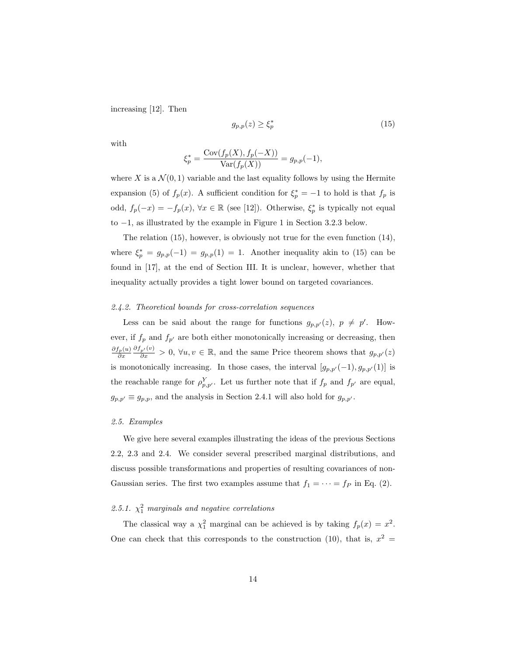increasing [12]. Then

$$
g_{p,p}(z) \ge \xi_p^* \tag{15}
$$

with

$$
\xi_p^* = \frac{\text{Cov}(f_p(X), f_p(-X))}{\text{Var}(f_p(X))} = g_{p,p}(-1),
$$

where X is a  $\mathcal{N}(0, 1)$  variable and the last equality follows by using the Hermite expansion (5) of  $f_p(x)$ . A sufficient condition for  $\xi_p^* = -1$  to hold is that  $f_p$  is odd,  $f_p(-x) = -f_p(x)$ ,  $\forall x \in \mathbb{R}$  (see [12]). Otherwise,  $\xi_p^*$  is typically not equal to −1, as illustrated by the example in Figure 1 in Section 3.2.3 below.

The relation (15), however, is obviously not true for the even function (14), where  $\xi_p^* = g_{p,p}(-1) = g_{p,p}(1) = 1$ . Another inequality akin to (15) can be found in [17], at the end of Section III. It is unclear, however, whether that inequality actually provides a tight lower bound on targeted covariances.

### 2.4.2. Theoretical bounds for cross-correlation sequences

Less can be said about the range for functions  $g_{p,p'}(z)$ ,  $p \neq p'$ . However, if  $f_p$  and  $f_{p'}$  are both either monotonically increasing or decreasing, then  $\frac{\partial f_p(u)}{\partial x} \frac{\partial f_{p'}(v)}{\partial x} > 0$ ,  $\forall u, v \in \mathbb{R}$ , and the same Price theorem shows that  $g_{p,p'}(z)$ is monotonically increasing. In those cases, the interval  $[g_{p,p'}(-1), g_{p,p'}(1)]$  is the reachable range for  $\rho_{p,p'}^Y$ . Let us further note that if  $f_p$  and  $f_{p'}$  are equal,  $g_{p,p'} \equiv g_{p,p}$ , and the analysis in Section 2.4.1 will also hold for  $g_{p,p'}$ .

### 2.5. Examples

We give here several examples illustrating the ideas of the previous Sections 2.2, 2.3 and 2.4. We consider several prescribed marginal distributions, and discuss possible transformations and properties of resulting covariances of non-Gaussian series. The first two examples assume that  $f_1 = \cdots = f_P$  in Eq. (2).

# 2.5.1.  $\chi_1^2$  marginals and negative correlations

The classical way a  $\chi_1^2$  marginal can be achieved is by taking  $f_p(x) = x^2$ . One can check that this corresponds to the construction (10), that is,  $x^2 =$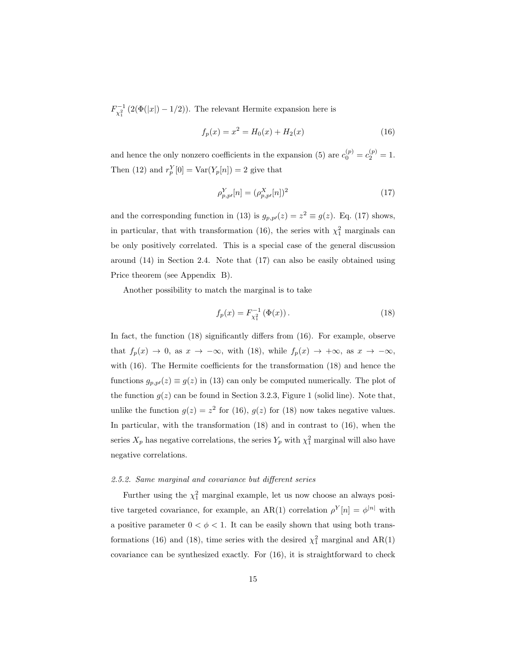$F_{\chi_1^2}^{-1} (2(\Phi(|x|) - 1/2)).$  The relevant Hermite expansion here is

$$
f_p(x) = x^2 = H_0(x) + H_2(x)
$$
\n(16)

and hence the only nonzero coefficients in the expansion (5) are  $c_0^{(p)} = c_2^{(p)} = 1$ . Then (12) and  $r_p^Y[0] = \text{Var}(Y_p[n]) = 2$  give that

$$
\rho_{p,p'}^Y[n] = (\rho_{p,p'}^X[n])^2 \tag{17}
$$

and the corresponding function in (13) is  $g_{p,p\prime}(z) = z^2 \equiv g(z)$ . Eq. (17) shows, in particular, that with transformation (16), the series with  $\chi_1^2$  marginals can be only positively correlated. This is a special case of the general discussion around (14) in Section 2.4. Note that (17) can also be easily obtained using Price theorem (see Appendix B).

Another possibility to match the marginal is to take

$$
f_p(x) = F_{\chi_1^2}^{-1} (\Phi(x)).
$$
 (18)

In fact, the function (18) significantly differs from (16). For example, observe that  $f_p(x) \to 0$ , as  $x \to -\infty$ , with (18), while  $f_p(x) \to +\infty$ , as  $x \to -\infty$ , with (16). The Hermite coefficients for the transformation (18) and hence the functions  $g_{p,p}(z) \equiv g(z)$  in (13) can only be computed numerically. The plot of the function  $g(z)$  can be found in Section 3.2.3, Figure 1 (solid line). Note that, unlike the function  $g(z) = z^2$  for (16),  $g(z)$  for (18) now takes negative values. In particular, with the transformation (18) and in contrast to (16), when the series  $X_p$  has negative correlations, the series  $Y_p$  with  $\chi_1^2$  marginal will also have negative correlations.

### 2.5.2. Same marginal and covariance but different series

Further using the  $\chi_1^2$  marginal example, let us now choose an always positive targeted covariance, for example, an AR(1) correlation  $\rho^{Y}[n] = \phi^{|n|}$  with a positive parameter  $0 < \phi < 1$ . It can be easily shown that using both transformations (16) and (18), time series with the desired  $\chi_1^2$  marginal and AR(1) covariance can be synthesized exactly. For (16), it is straightforward to check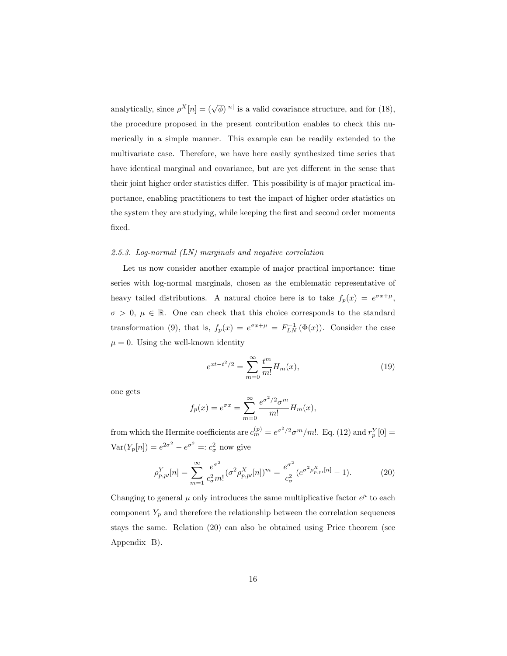analytically, since  $\rho^X[n] = (\sqrt{\phi})^{|n|}$  is a valid covariance structure, and for (18), the procedure proposed in the present contribution enables to check this numerically in a simple manner. This example can be readily extended to the multivariate case. Therefore, we have here easily synthesized time series that have identical marginal and covariance, but are yet different in the sense that their joint higher order statistics differ. This possibility is of major practical importance, enabling practitioners to test the impact of higher order statistics on the system they are studying, while keeping the first and second order moments fixed.

### 2.5.3. Log-normal (LN) marginals and negative correlation

Let us now consider another example of major practical importance: time series with log-normal marginals, chosen as the emblematic representative of heavy tailed distributions. A natural choice here is to take  $f_p(x) = e^{\sigma x + \mu}$ ,  $\sigma > 0, \mu \in \mathbb{R}$ . One can check that this choice corresponds to the standard transformation (9), that is,  $f_p(x) = e^{\sigma x + \mu} = F^{-1}_{LN}(\Phi(x))$ . Consider the case  $\mu = 0$ . Using the well-known identity

$$
e^{xt - t^2/2} = \sum_{m=0}^{\infty} \frac{t^m}{m!} H_m(x),
$$
 (19)

one gets

$$
f_p(x) = e^{\sigma x} = \sum_{m=0}^{\infty} \frac{e^{\sigma^2/2} \sigma^m}{m!} H_m(x),
$$

from which the Hermite coefficients are  $c_m^{(p)} = e^{\sigma^2/2} \sigma^m/m!$ . Eq. (12) and  $r_p^Y[0] =$  $\text{Var}(Y_p[n]) = e^{2\sigma^2} - e^{\sigma^2} =: c^2_\sigma$  now give

$$
\rho_{p,p'}^Y[n] = \sum_{m=1}^{\infty} \frac{e^{\sigma^2}}{c_{\sigma}^2 m!} (\sigma^2 \rho_{p,p'}^X[n])^m = \frac{e^{\sigma^2}}{c_{\sigma}^2} (e^{\sigma^2 \rho_{p,p'}^X[n]} - 1).
$$
 (20)

Changing to general  $\mu$  only introduces the same multiplicative factor  $e^{\mu}$  to each component  $Y_p$  and therefore the relationship between the correlation sequences stays the same. Relation (20) can also be obtained using Price theorem (see Appendix B).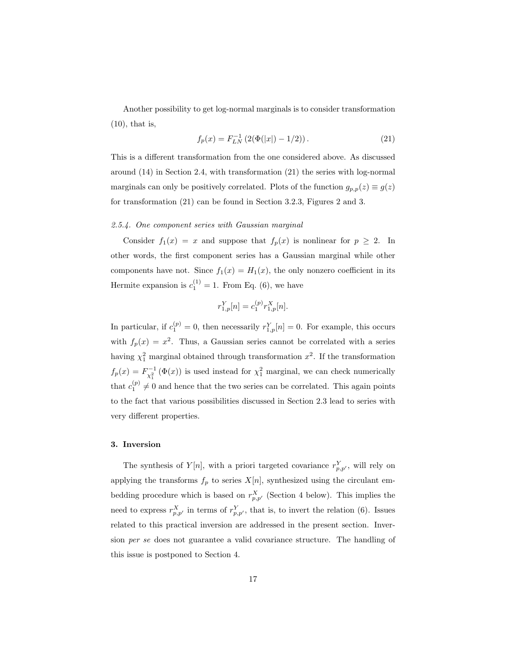Another possibility to get log-normal marginals is to consider transformation (10), that is,

$$
f_p(x) = F_{LN}^{-1} \left( 2(\Phi(|x|) - 1/2) \right). \tag{21}
$$

This is a different transformation from the one considered above. As discussed around (14) in Section 2.4, with transformation (21) the series with log-normal marginals can only be positively correlated. Plots of the function  $g_{p,p}(z) \equiv g(z)$ for transformation (21) can be found in Section 3.2.3, Figures 2 and 3.

# 2.5.4. One component series with Gaussian marginal

Consider  $f_1(x) = x$  and suppose that  $f_p(x)$  is nonlinear for  $p \ge 2$ . In other words, the first component series has a Gaussian marginal while other components have not. Since  $f_1(x) = H_1(x)$ , the only nonzero coefficient in its Hermite expansion is  $c_1^{(1)} = 1$ . From Eq. (6), we have

$$
r_{1,p}^Y[n] = c_1^{(p)} r_{1,p}^X[n].
$$

In particular, if  $c_1^{(p)} = 0$ , then necessarily  $r_{1,p}^Y[n] = 0$ . For example, this occurs with  $f_p(x) = x^2$ . Thus, a Gaussian series cannot be correlated with a series having  $\chi_1^2$  marginal obtained through transformation  $x^2$ . If the transformation  $f_p(x) = F_{\chi_1^2}^{-1}(\Phi(x))$  is used instead for  $\chi_1^2$  marginal, we can check numerically that  $c_1^{(p)} \neq 0$  and hence that the two series can be correlated. This again points to the fact that various possibilities discussed in Section 2.3 lead to series with very different properties.

### 3. Inversion

The synthesis of  $Y[n]$ , with a priori targeted covariance  $r_{p,p'}^Y$ , will rely on applying the transforms  $f_p$  to series  $X[n]$ , synthesized using the circulant embedding procedure which is based on  $r_{p,p'}^X$  (Section 4 below). This implies the need to express  $r_{p,p'}^X$  in terms of  $r_{p,p'}^Y$ , that is, to invert the relation (6). Issues related to this practical inversion are addressed in the present section. Inversion per se does not guarantee a valid covariance structure. The handling of this issue is postponed to Section 4.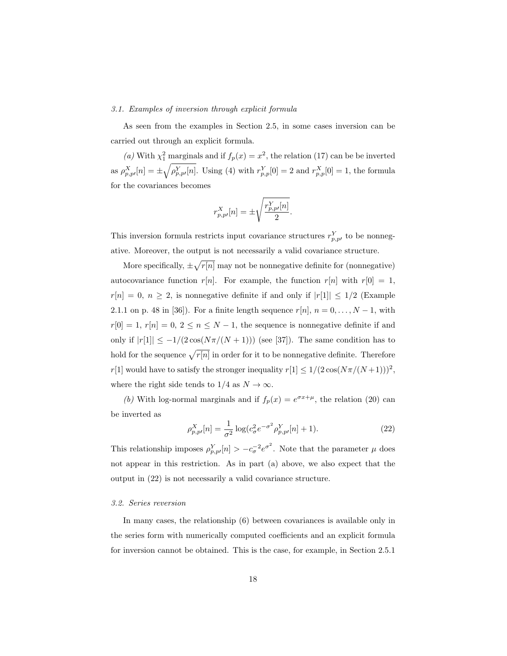### 3.1. Examples of inversion through explicit formula

As seen from the examples in Section 2.5, in some cases inversion can be carried out through an explicit formula.

(a) With  $\chi_1^2$  marginals and if  $f_p(x) = x^2$ , the relation (17) can be be inverted as  $\rho_{p,p'}^X[n] = \pm \sqrt{\rho_{p,p'}^Y[n]}$ . Using (4) with  $r_{p,p}^Y[0] = 2$  and  $r_{p,p}^X[0] = 1$ , the formula for the covariances becomes

$$
r^{X}_{p,p\prime}[n]=\pm\sqrt{\frac{r^{Y}_{p,p\prime}[n]}{2}}.
$$

This inversion formula restricts input covariance structures  $r_{p,p}^Y$  to be nonnegative. Moreover, the output is not necessarily a valid covariance structure.

More specifically,  $\pm \sqrt{r[n]}$  may not be nonnegative definite for (nonnegative) autocovariance function  $r[n]$ . For example, the function  $r[n]$  with  $r[0] = 1$ ,  $r[n] = 0, n \geq 2$ , is nonnegative definite if and only if  $|r[1]| \leq 1/2$  (Example 2.1.1 on p. 48 in [36]). For a finite length sequence  $r[n], n = 0, \ldots, N-1$ , with  $r[0] = 1, r[n] = 0, 2 \le n \le N - 1$ , the sequence is nonnegative definite if and only if  $|r[1]| \leq -1/(2 \cos(N\pi/(N+1)))$  (see [37]). The same condition has to hold for the sequence  $\sqrt{r[n]}$  in order for it to be nonnegative definite. Therefore  $r[1]$  would have to satisfy the stronger inequality  $r[1] \leq 1/(2\cos(N\pi/(N+1)))^2,$ where the right side tends to  $1/4$  as  $N \to \infty$ .

(b) With log-normal marginals and if  $f_p(x) = e^{\sigma x + \mu}$ , the relation (20) can be inverted as

$$
\rho_{p,p}^X[n] = \frac{1}{\sigma^2} \log(c_{\sigma}^2 e^{-\sigma^2} \rho_{p,p}^Y[n] + 1).
$$
\n(22)

This relationship imposes  $\rho_{p,p'}^Y[n] > -c_{\sigma}^{-2} e^{\sigma^2}$ . Note that the parameter  $\mu$  does not appear in this restriction. As in part (a) above, we also expect that the output in (22) is not necessarily a valid covariance structure.

#### 3.2. Series reversion

In many cases, the relationship (6) between covariances is available only in the series form with numerically computed coefficients and an explicit formula for inversion cannot be obtained. This is the case, for example, in Section 2.5.1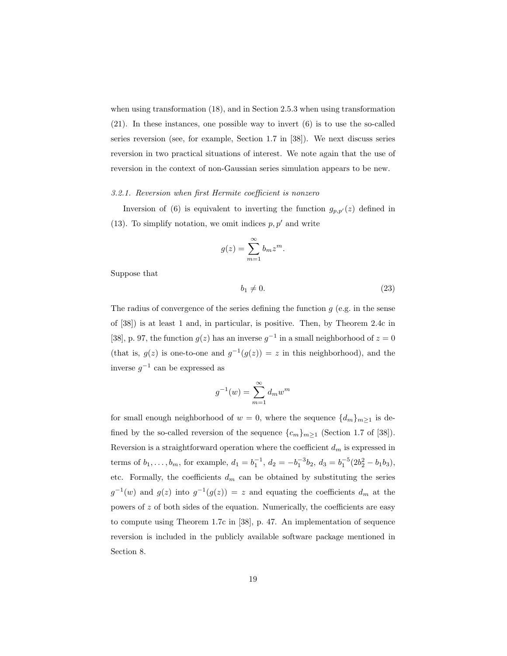when using transformation (18), and in Section 2.5.3 when using transformation (21). In these instances, one possible way to invert (6) is to use the so-called series reversion (see, for example, Section 1.7 in [38]). We next discuss series reversion in two practical situations of interest. We note again that the use of reversion in the context of non-Gaussian series simulation appears to be new.

### 3.2.1. Reversion when first Hermite coefficient is nonzero

Inversion of (6) is equivalent to inverting the function  $g_{p,p'}(z)$  defined in (13). To simplify notation, we omit indices  $p, p'$  and write

$$
g(z) = \sum_{m=1}^{\infty} b_m z^m.
$$

Suppose that

$$
b_1 \neq 0. \tag{23}
$$

The radius of convergence of the series defining the function  $g$  (e.g. in the sense of [38]) is at least 1 and, in particular, is positive. Then, by Theorem 2.4c in [38], p. 97, the function  $g(z)$  has an inverse  $g^{-1}$  in a small neighborhood of  $z = 0$ (that is,  $g(z)$  is one-to-one and  $g^{-1}(g(z)) = z$  in this neighborhood), and the inverse  $g^{-1}$  can be expressed as

$$
g^{-1}(w) = \sum_{m=1}^{\infty} d_m w^m
$$

for small enough neighborhood of  $w = 0$ , where the sequence  $\{d_m\}_{m\geq 1}$  is defined by the so-called reversion of the sequence  $\{c_m\}_{m\geq 1}$  (Section 1.7 of [38]). Reversion is a straightforward operation where the coefficient  $d_m$  is expressed in terms of  $b_1, \ldots, b_m$ , for example,  $d_1 = b_1^{-1}$ ,  $d_2 = -b_1^{-3}b_2$ ,  $d_3 = b_1^{-5}(2b_2^2 - b_1b_3)$ , etc. Formally, the coefficients  $d_m$  can be obtained by substituting the series  $g^{-1}(w)$  and  $g(z)$  into  $g^{-1}(g(z)) = z$  and equating the coefficients  $d_m$  at the powers of  $z$  of both sides of the equation. Numerically, the coefficients are easy to compute using Theorem 1.7c in [38], p. 47. An implementation of sequence reversion is included in the publicly available software package mentioned in Section 8.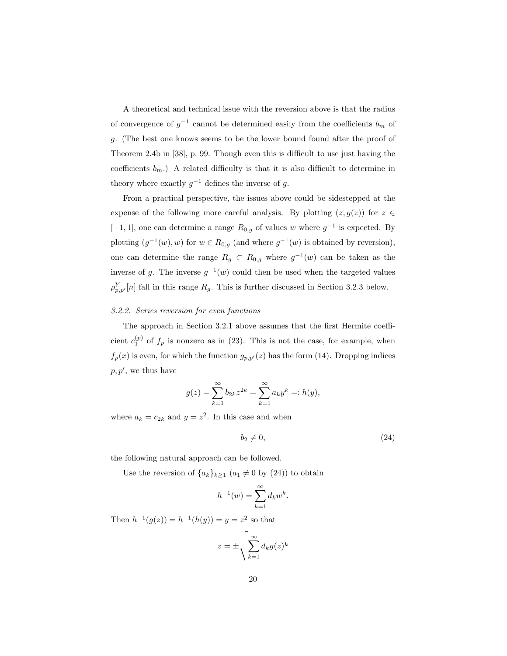A theoretical and technical issue with the reversion above is that the radius of convergence of  $g^{-1}$  cannot be determined easily from the coefficients  $b_m$  of g. (The best one knows seems to be the lower bound found after the proof of Theorem 2.4b in [38], p. 99. Though even this is difficult to use just having the coefficients  $b_m$ .) A related difficulty is that it is also difficult to determine in theory where exactly  $g^{-1}$  defines the inverse of g.

From a practical perspective, the issues above could be sidestepped at the expense of the following more careful analysis. By plotting  $(z, g(z))$  for  $z \in \mathbb{R}$  $[-1, 1]$ , one can determine a range  $R_{0,g}$  of values w where  $g^{-1}$  is expected. By plotting  $(g^{-1}(w), w)$  for  $w \in R_{0,g}$  (and where  $g^{-1}(w)$  is obtained by reversion), one can determine the range  $R_g \text{ }\subset R_{0,g}$  where  $g^{-1}(w)$  can be taken as the inverse of g. The inverse  $g^{-1}(w)$  could then be used when the targeted values  $\rho_{p,p'}^Y[n]$  fall in this range  $R_g$ . This is further discussed in Section 3.2.3 below.

### 3.2.2. Series reversion for even functions

The approach in Section 3.2.1 above assumes that the first Hermite coefficient  $c_1^{(p)}$  of  $f_p$  is nonzero as in (23). This is not the case, for example, when  $f_p(x)$  is even, for which the function  $g_{p,p'}(z)$  has the form (14). Dropping indices  $p, p'$ , we thus have

$$
g(z) = \sum_{k=1}^{\infty} b_{2k} z^{2k} = \sum_{k=1}^{\infty} a_k y^k =: h(y),
$$

where  $a_k = c_{2k}$  and  $y = z^2$ . In this case and when

$$
b_2 \neq 0,\tag{24}
$$

the following natural approach can be followed.

Use the reversion of  $\{a_k\}_{k\geq 1}$   $(a_1 \neq 0$  by  $(24))$  to obtain

$$
h^{-1}(w) = \sum_{k=1}^{\infty} d_k w^k.
$$

Then  $h^{-1}(g(z)) = h^{-1}(h(y)) = y = z^2$  so that

$$
z = \pm \sqrt{\sum_{k=1}^{\infty} d_k g(z)^k}
$$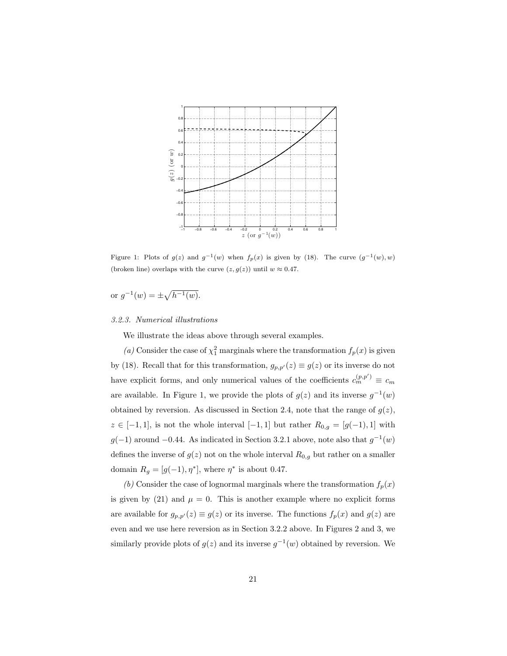

Figure 1: Plots of  $g(z)$  and  $g^{-1}(w)$  when  $f_p(x)$  is given by (18). The curve  $(g^{-1}(w), w)$ (broken line) overlaps with the curve  $(z, g(z))$  until  $w \approx 0.47$ .

or  $g^{-1}(w) = \pm \sqrt{h^{-1}(w)}$ .

# 3.2.3. Numerical illustrations

We illustrate the ideas above through several examples.

(a) Consider the case of  $\chi^2$  marginals where the transformation  $f_p(x)$  is given by (18). Recall that for this transformation,  $g_{p,p'}(z) \equiv g(z)$  or its inverse do not have explicit forms, and only numerical values of the coefficients  $c_m^{(p,p')} \equiv c_m$ are available. In Figure 1, we provide the plots of  $g(z)$  and its inverse  $g^{-1}(w)$ obtained by reversion. As discussed in Section 2.4, note that the range of  $g(z)$ ,  $z \in [-1,1]$ , is not the whole interval  $[-1,1]$  but rather  $R_{0,g} = [g(-1),1]$  with  $g(-1)$  around  $-0.44$ . As indicated in Section 3.2.1 above, note also that  $g^{-1}(w)$ defines the inverse of  $g(z)$  not on the whole interval  $R_{0,g}$  but rather on a smaller domain  $R_g = [g(-1), \eta^*]$ , where  $\eta^*$  is about 0.47.

(b) Consider the case of lognormal marginals where the transformation  $f_p(x)$ is given by (21) and  $\mu = 0$ . This is another example where no explicit forms are available for  $g_{p,p'}(z) \equiv g(z)$  or its inverse. The functions  $f_p(x)$  and  $g(z)$  are even and we use here reversion as in Section 3.2.2 above. In Figures 2 and 3, we similarly provide plots of  $g(z)$  and its inverse  $g^{-1}(w)$  obtained by reversion. We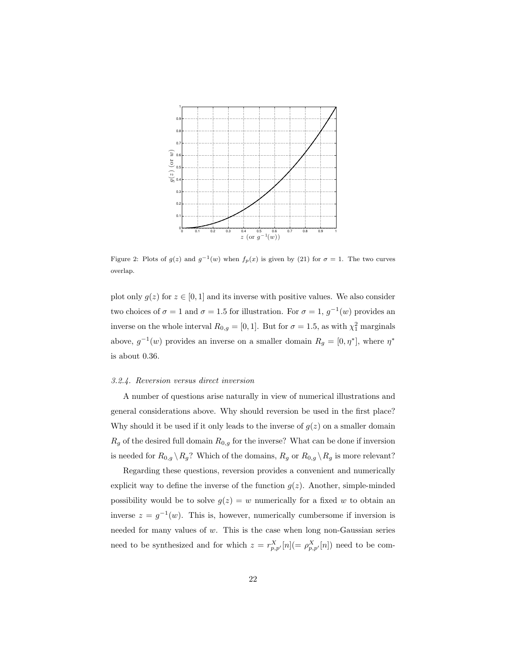

Figure 2: Plots of  $g(z)$  and  $g^{-1}(w)$  when  $f_p(x)$  is given by (21) for  $\sigma = 1$ . The two curves overlap.

plot only  $g(z)$  for  $z \in [0, 1]$  and its inverse with positive values. We also consider two choices of  $\sigma = 1$  and  $\sigma = 1.5$  for illustration. For  $\sigma = 1$ ,  $g^{-1}(w)$  provides an inverse on the whole interval  $R_{0,g} = [0,1]$ . But for  $\sigma = 1.5$ , as with  $\chi_1^2$  marginals above,  $g^{-1}(w)$  provides an inverse on a smaller domain  $R_g = [0, \eta^*]$ , where  $\eta^*$ is about 0.36.

### 3.2.4. Reversion versus direct inversion

A number of questions arise naturally in view of numerical illustrations and general considerations above. Why should reversion be used in the first place? Why should it be used if it only leads to the inverse of  $g(z)$  on a smaller domain  $R_g$  of the desired full domain  $R_{0,g}$  for the inverse? What can be done if inversion is needed for  $R_{0,g} \setminus R_g$ ? Which of the domains,  $R_g$  or  $R_{0,g} \setminus R_g$  is more relevant?

Regarding these questions, reversion provides a convenient and numerically explicit way to define the inverse of the function  $g(z)$ . Another, simple-minded possibility would be to solve  $g(z) = w$  numerically for a fixed w to obtain an inverse  $z = g^{-1}(w)$ . This is, however, numerically cumbersome if inversion is needed for many values of w. This is the case when long non-Gaussian series need to be synthesized and for which  $z = r_{p,p'}^X[n] (= \rho_{p,p'}^X[n])$  need to be com-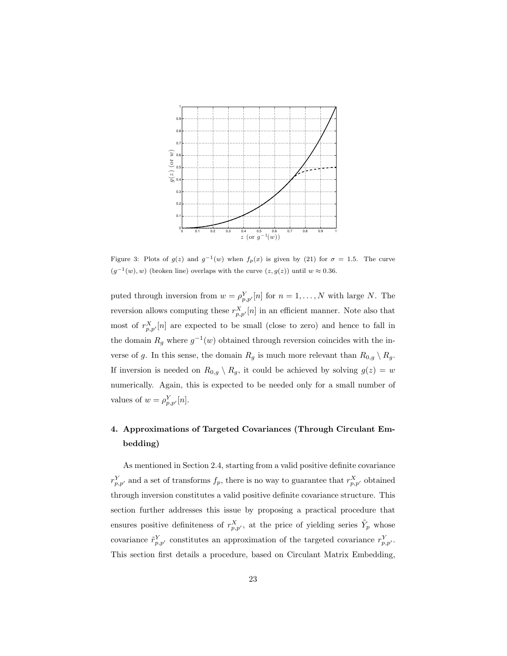

Figure 3: Plots of  $g(z)$  and  $g^{-1}(w)$  when  $f_p(x)$  is given by (21) for  $\sigma = 1.5$ . The curve  $(g^{-1}(w), w)$  (broken line) overlaps with the curve  $(z, g(z))$  until  $w \approx 0.36$ .

puted through inversion from  $w = \rho_{p,p'}^Y[n]$  for  $n = 1, ..., N$  with large N. The reversion allows computing these  $r_{p,p'}^X[n]$  in an efficient manner. Note also that most of  $r_{p,p'}^X[n]$  are expected to be small (close to zero) and hence to fall in the domain  $R_g$  where  $g^{-1}(w)$  obtained through reversion coincides with the inverse of g. In this sense, the domain  $R_g$  is much more relevant than  $R_{0,g} \setminus R_g$ . If inversion is needed on  $R_{0,q} \setminus R_g$ , it could be achieved by solving  $g(z) = w$ numerically. Again, this is expected to be needed only for a small number of values of  $w = \rho_{p,p'}^Y[n]$ .

# 4. Approximations of Targeted Covariances (Through Circulant Embedding)

As mentioned in Section 2.4, starting from a valid positive definite covariance  $r_{p,p'}^Y$  and a set of transforms  $f_p$ , there is no way to guarantee that  $r_{p,p'}^X$  obtained through inversion constitutes a valid positive definite covariance structure. This section further addresses this issue by proposing a practical procedure that ensures positive definiteness of  $r_{p,p'}^X$ , at the price of yielding series  $\tilde{Y}_p$  whose covariance  $\tilde{r}_{p,p'}^Y$  constitutes an approximation of the targeted covariance  $r_{p,p'}^Y$ . This section first details a procedure, based on Circulant Matrix Embedding,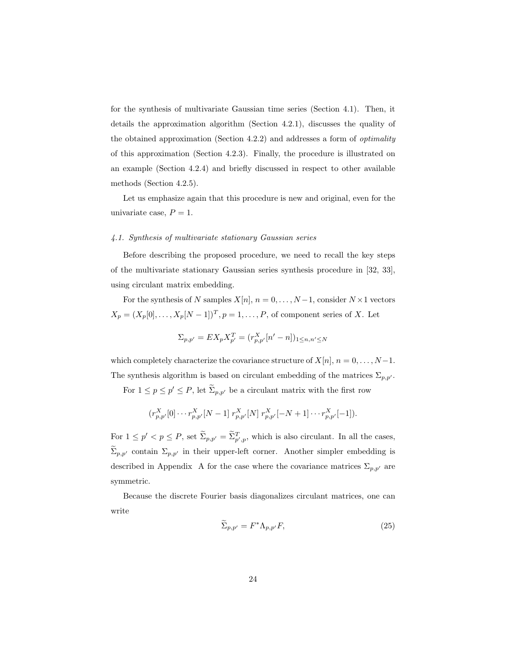for the synthesis of multivariate Gaussian time series (Section 4.1). Then, it details the approximation algorithm (Section 4.2.1), discusses the quality of the obtained approximation (Section 4.2.2) and addresses a form of optimality of this approximation (Section 4.2.3). Finally, the procedure is illustrated on an example (Section 4.2.4) and briefly discussed in respect to other available methods (Section 4.2.5).

Let us emphasize again that this procedure is new and original, even for the univariate case,  $P = 1$ .

# 4.1. Synthesis of multivariate stationary Gaussian series

Before describing the proposed procedure, we need to recall the key steps of the multivariate stationary Gaussian series synthesis procedure in [32, 33], using circulant matrix embedding.

For the synthesis of N samples  $X[n], n = 0, \ldots, N-1$ , consider  $N \times 1$  vectors  $X_p = (X_p[0], \ldots, X_p[N-1])^T, p = 1, \ldots, P$ , of component series of X. Let

$$
\Sigma_{p,p'} = EX_p X_{p'}^T = (r_{p,p'}^X[n'-n])_{1 \le n,n' \le N}
$$

which completely characterize the covariance structure of  $X[n], n = 0, \ldots, N-1$ . The synthesis algorithm is based on circulant embedding of the matrices  $\Sigma_{p,p'}$ .

For  $1 \le p \le p' \le P$ , let  $\widetilde{\Sigma}_{p,p'}$  be a circulant matrix with the first row

$$
(r_{p,p'}^X[0] \cdots r_{p,p'}^X[N-1] \; r_{p,p'}^X[N] \; r_{p,p'}^X[-N+1] \cdots r_{p,p'}^X[-1]).
$$

For  $1 \le p' < p \le P$ , set  $\Sigma_{p,p'} = \Sigma_{p',p}^T$ , which is also circulant. In all the cases,  $\widetilde{\Sigma}_{p,p'}$  contain  $\Sigma_{p,p'}$  in their upper-left corner. Another simpler embedding is described in Appendix A for the case where the covariance matrices  $\Sigma_{p,p'}$  are symmetric.

Because the discrete Fourier basis diagonalizes circulant matrices, one can write

$$
\Sigma_{p,p'} = F^* \Lambda_{p,p'} F,\tag{25}
$$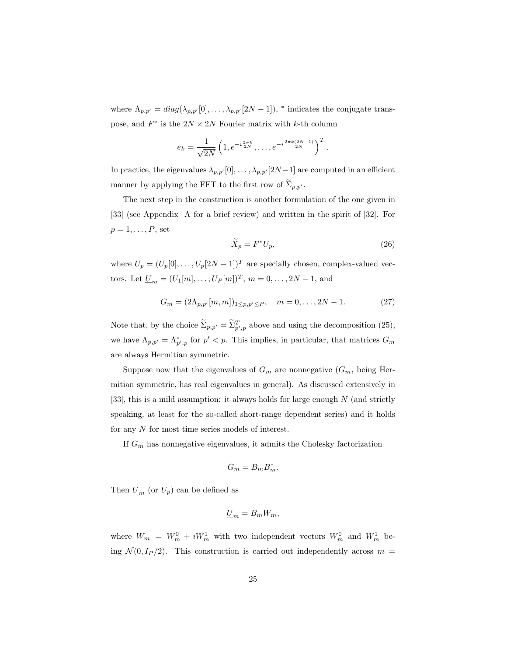where  $\Lambda_{p,p'} = diag(\lambda_{p,p'}[0], \ldots, \lambda_{p,p'}[2N-1]),$  \* indicates the conjugate transpose, and  $F^*$  is the  $2N \times 2N$  Fourier matrix with k-th column

$$
e_k = \frac{1}{\sqrt{2N}} \left( 1, e^{-i \frac{2\pi k}{2N}}, \dots, e^{-i \frac{2\pi k (2N-1)}{2N}} \right)^T.
$$

In practice, the eigenvalues  $\lambda_{p,p'}[0],\ldots,\lambda_{p,p'}[2N-1]$  are computed in an efficient manner by applying the FFT to the first row of  $\Sigma_{p,p'}$ .

The next step in the construction is another formulation of the one given in [33] (see Appendix A for a brief review) and written in the spirit of [32]. For  $p=1,\ldots,P$ , set

$$
\widetilde{X}_p = F^* U_p,\tag{26}
$$

where  $U_p = (U_p[0], \ldots, U_p[2N-1])^T$  are specially chosen, complex-valued vectors. Let  $\underline{U}_m = (U_1[m], \ldots, U_P[m])^T$ ,  $m = 0, \ldots, 2N - 1$ , and

$$
G_m = (2\Lambda_{p,p'}[m,m])_{1 \le p,p' \le P}, \quad m = 0, \dots, 2N - 1.
$$
 (27)

Note that, by the choice  $\tilde{\Sigma}_{p,p'} = \tilde{\Sigma}_{p',p}^T$  above and using the decomposition (25), we have  $\Lambda_{p,p'} = \Lambda_{p',p}^*$  for  $p' < p$ . This implies, in particular, that matrices  $G_m$ are always Hermitian symmetric.

Suppose now that the eigenvalues of  $G_m$  are nonnegative  $(G_m, \text{ being Her-})$ mitian symmetric, has real eigenvalues in general). As discussed extensively in [33], this is a mild assumption: it always holds for large enough N (and strictly speaking, at least for the so-called short-range dependent series) and it holds for any N for most time series models of interest.

If  $G_m$  has nonnegative eigenvalues, it admits the Cholesky factorization

$$
G_m = B_m B_m^*.
$$

Then  $\underline{U}_m$  (or  $U_p$ ) can be defined as

$$
\underline{U}_m = B_m W_m,
$$

where  $W_m = W_m^0 + iW_m^1$  with two independent vectors  $W_m^0$  and  $W_m^1$  being  $\mathcal{N}(0, I_P/2)$ . This construction is carried out independently across  $m =$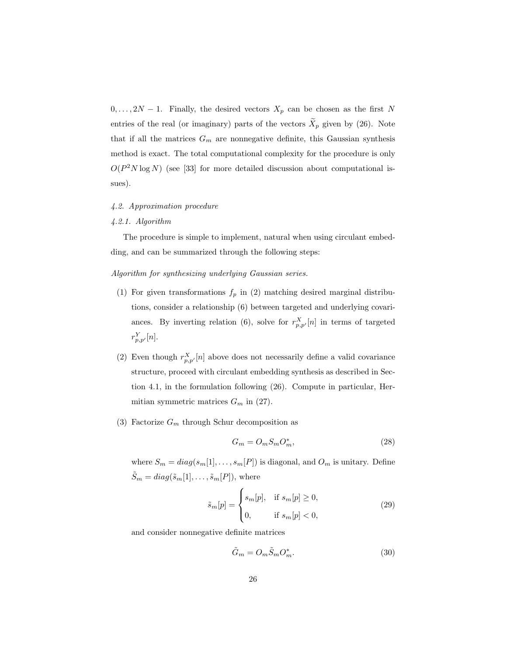$0, \ldots, 2N-1$ . Finally, the desired vectors  $X_p$  can be chosen as the first N entries of the real (or imaginary) parts of the vectors  $\widetilde{X}_p$  given by (26). Note that if all the matrices  $G_m$  are nonnegative definite, this Gaussian synthesis method is exact. The total computational complexity for the procedure is only  $O(P^2N \log N)$  (see [33] for more detailed discussion about computational issues).

# 4.2. Approximation procedure

### 4.2.1. Algorithm

The procedure is simple to implement, natural when using circulant embedding, and can be summarized through the following steps:

# Algorithm for synthesizing underlying Gaussian series.

- (1) For given transformations  $f_p$  in (2) matching desired marginal distributions, consider a relationship (6) between targeted and underlying covariances. By inverting relation (6), solve for  $r_{p,p'}^X[n]$  in terms of targeted  $r_{p,p'}^Y[n].$
- (2) Even though  $r_{p,p'}^X[n]$  above does not necessarily define a valid covariance structure, proceed with circulant embedding synthesis as described in Section 4.1, in the formulation following (26). Compute in particular, Hermitian symmetric matrices  $G_m$  in (27).
- (3) Factorize  $G_m$  through Schur decomposition as

$$
G_m = O_m S_m O_m^*,\tag{28}
$$

where  $S_m = diag(s_m[1], \ldots, s_m[P])$  is diagonal, and  $O_m$  is unitary. Define  $\tilde{S}_m = diag(\tilde{s}_m[1], \ldots, \tilde{s}_m[P]),$  where

$$
\tilde{s}_{m}[p] = \begin{cases} s_{m}[p], & \text{if } s_{m}[p] \ge 0, \\ 0, & \text{if } s_{m}[p] < 0, \end{cases}
$$
\n(29)

and consider nonnegative definite matrices

$$
\tilde{G}_m = O_m \tilde{S}_m O_m^*.
$$
\n(30)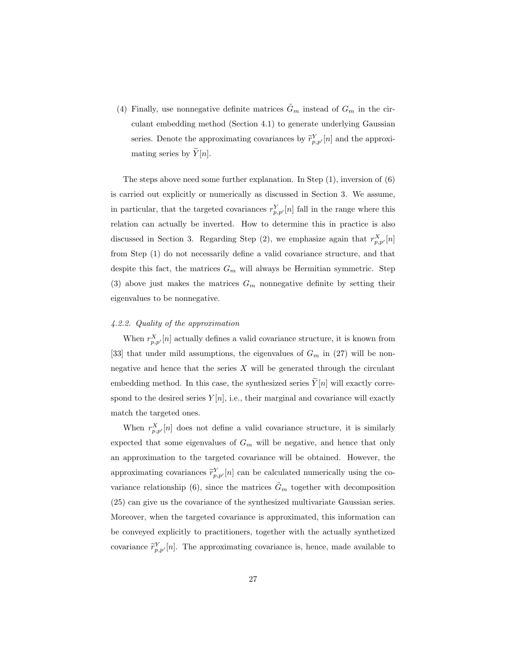(4) Finally, use nonnegative definite matrices  $\tilde{G}_m$  instead of  $G_m$  in the circulant embedding method (Section 4.1) to generate underlying Gaussian series. Denote the approximating covariances by  $\tilde{r}_{p,p'}^Y[n]$  and the approximating series by  $\widetilde{Y}[n]$ .

The steps above need some further explanation. In Step  $(1)$ , inversion of  $(6)$ is carried out explicitly or numerically as discussed in Section 3. We assume, in particular, that the targeted covariances  $r_{p,p'}^Y[n]$  fall in the range where this relation can actually be inverted. How to determine this in practice is also discussed in Section 3. Regarding Step (2), we emphasize again that  $r_{p,p'}^X[n]$ from Step (1) do not necessarily define a valid covariance structure, and that despite this fact, the matrices  $G_m$  will always be Hermitian symmetric. Step (3) above just makes the matrices  $G_m$  nonnegative definite by setting their eigenvalues to be nonnegative.

# 4.2.2. Quality of the approximation

When  $r_{p,p'}^X[n]$  actually defines a valid covariance structure, it is known from [33] that under mild assumptions, the eigenvalues of  $G_m$  in (27) will be nonnegative and hence that the series  $X$  will be generated through the circulant embedding method. In this case, the synthesized series  $Y[n]$  will exactly correspond to the desired series  $Y[n]$ , i.e., their marginal and covariance will exactly match the targeted ones.

When  $r_{p,p'}^X[n]$  does not define a valid covariance structure, it is similarly expected that some eigenvalues of  $G_m$  will be negative, and hence that only an approximation to the targeted covariance will be obtained. However, the approximating covariances  $\widetilde{r}_{p,p'}^Y[n]$  can be calculated numerically using the covariance relationship (6), since the matrices  $\tilde{G}_m$  together with decomposition (25) can give us the covariance of the synthesized multivariate Gaussian series. Moreover, when the targeted covariance is approximated, this information can be conveyed explicitly to practitioners, together with the actually synthetized covariance  $\tilde{r}_{p,p'}^Y[n]$ . The approximating covariance is, hence, made available to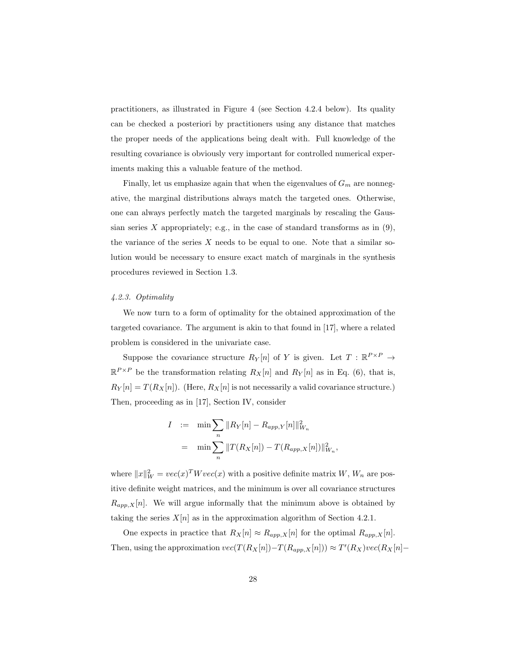practitioners, as illustrated in Figure 4 (see Section 4.2.4 below). Its quality can be checked a posteriori by practitioners using any distance that matches the proper needs of the applications being dealt with. Full knowledge of the resulting covariance is obviously very important for controlled numerical experiments making this a valuable feature of the method.

Finally, let us emphasize again that when the eigenvalues of  $G_m$  are nonnegative, the marginal distributions always match the targeted ones. Otherwise, one can always perfectly match the targeted marginals by rescaling the Gaussian series  $X$  appropriately; e.g., in the case of standard transforms as in  $(9)$ , the variance of the series  $X$  needs to be equal to one. Note that a similar solution would be necessary to ensure exact match of marginals in the synthesis procedures reviewed in Section 1.3.

# 4.2.3. Optimality

We now turn to a form of optimality for the obtained approximation of the targeted covariance. The argument is akin to that found in [17], where a related problem is considered in the univariate case.

Suppose the covariance structure  $R_Y[n]$  of Y is given. Let  $T : \mathbb{R}^{P \times P} \to$  $\mathbb{R}^{P\times P}$  be the transformation relating  $R_X[n]$  and  $R_Y[n]$  as in Eq. (6), that is,  $R_Y[n] = T(R_X[n])$ . (Here,  $R_X[n]$  is not necessarily a valid covariance structure.) Then, proceeding as in [17], Section IV, consider

$$
I := \min \sum_{n} \|R_Y[n] - R_{app,Y}[n]\|_{W_n}^2
$$
  
= 
$$
\min \sum_{n} \|T(R_X[n]) - T(R_{app,X}[n])\|_{W_n}^2,
$$

where  $||x||_W^2 = vec(x)^T W vec(x)$  with a positive definite matrix  $W$ ,  $W_n$  are positive definite weight matrices, and the minimum is over all covariance structures  $R_{app,X}[n]$ . We will argue informally that the minimum above is obtained by taking the series  $X[n]$  as in the approximation algorithm of Section 4.2.1.

One expects in practice that  $R_X[n] \approx R_{app,X}[n]$  for the optimal  $R_{app,X}[n]$ . Then, using the approximation  $vec(T(R_X[n]) - T(R_{app,X}[n])) \approx T'(R_X)vec(R_X[n])$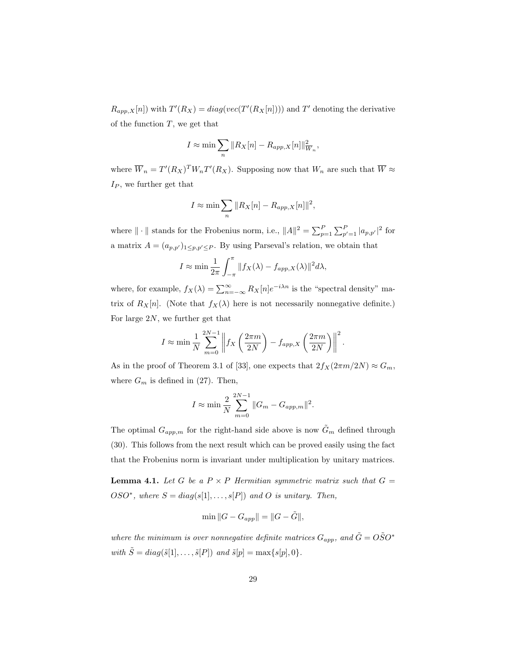$R_{app,X}[n]$ ) with  $T'(R_X) = diag(vec(T'(R_X[n]))$  and T' denoting the derivative of the function  $T$ , we get that

$$
I \approx \min \sum_{n} \|R_X[n] - R_{app,X}[n]\|_{\overline{W}_n}^2,
$$

where  $\overline{W}_n = T'(R_X)^T W_n T'(R_X)$ . Supposing now that  $W_n$  are such that  $\overline{W} \approx$  $I_P$ , we further get that

$$
I \approx \min \sum_{n} \|R_X[n] - R_{app,X}[n]\|^2,
$$

where  $\|\cdot\|$  stands for the Frobenius norm, i.e.,  $\|A\|^2 = \sum_{p=1}^P \sum_{p'=1}^P |a_{p,p'}|^2$  for a matrix  $A = (a_{p,p'})_{1 \leq p,p' \leq P}$ . By using Parseval's relation, we obtain that

$$
I \approx \min \frac{1}{2\pi} \int_{-\pi}^{\pi} ||f_X(\lambda) - f_{app,X}(\lambda)||^2 d\lambda,
$$

where, for example,  $f_X(\lambda) = \sum_{n=-\infty}^{\infty} R_X[n]e^{-i\lambda n}$  is the "spectral density" matrix of  $R_X[n]$ . (Note that  $f_X(\lambda)$  here is not necessarily nonnegative definite.) For large 2N, we further get that

$$
I \approx \min \frac{1}{N} \sum_{m=0}^{2N-1} \left\| f_X \left( \frac{2\pi m}{2N} \right) - f_{app,X} \left( \frac{2\pi m}{2N} \right) \right\|^2.
$$

As in the proof of Theorem 3.1 of [33], one expects that  $2f_X(2\pi m/2N) \approx G_m$ , where  $G_m$  is defined in (27). Then,

$$
I \approx \min \frac{2}{N} \sum_{m=0}^{2N-1} ||G_m - G_{app,m}||^2.
$$

The optimal  $G_{app,m}$  for the right-hand side above is now  $\tilde{G}_m$  defined through (30). This follows from the next result which can be proved easily using the fact that the Frobenius norm is invariant under multiplication by unitary matrices.

**Lemma 4.1.** Let G be a  $P \times P$  Hermitian symmetric matrix such that  $G =$ OSO<sup>\*</sup>, where  $S = diag(s[1], \ldots, s[P])$  and O is unitary. Then,

$$
\min \|G - G_{app}\| = \|G - \tilde{G}\|,
$$

where the minimum is over nonnegative definite matrices  $G_{app}$ , and  $\tilde{G} = O\tilde{S}O^*$ with  $\tilde{S} = diag(\tilde{s}[1], \ldots, \tilde{s}[P])$  and  $\tilde{s}[p] = \max\{s[p], 0\}.$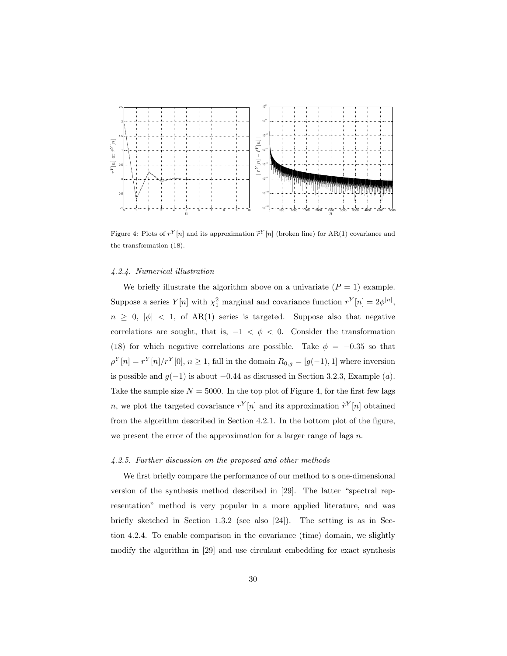

Figure 4: Plots of  $r^{Y}[n]$  and its approximation  $\tilde{r}^{Y}[n]$  (broken line) for AR(1) covariance and the transformation (18).

### 4.2.4. Numerical illustration

We briefly illustrate the algorithm above on a univariate  $(P = 1)$  example. Suppose a series  $Y[n]$  with  $\chi_1^2$  marginal and covariance function  $r^Y[n] = 2\phi^{|n|}$ ,  $n \geq 0, |\phi| < 1$ , of AR(1) series is targeted. Suppose also that negative correlations are sought, that is,  $-1 < \phi < 0$ . Consider the transformation (18) for which negative correlations are possible. Take  $\phi = -0.35$  so that  $\rho^{Y}[n] = r^{Y}[n]/r^{Y}[0], n \ge 1$ , fall in the domain  $R_{0,g} = [g(-1), 1]$  where inversion is possible and  $g(-1)$  is about  $-0.44$  as discussed in Section 3.2.3, Example (a). Take the sample size  $N = 5000$ . In the top plot of Figure 4, for the first few lags n, we plot the targeted covariance  $r^{Y}[n]$  and its approximation  $\tilde{r}^{Y}[n]$  obtained from the algorithm described in Section 4.2.1. In the bottom plot of the figure, we present the error of the approximation for a larger range of lags  $n$ .

# 4.2.5. Further discussion on the proposed and other methods

We first briefly compare the performance of our method to a one-dimensional version of the synthesis method described in [29]. The latter "spectral representation" method is very popular in a more applied literature, and was briefly sketched in Section 1.3.2 (see also [24]). The setting is as in Section 4.2.4. To enable comparison in the covariance (time) domain, we slightly modify the algorithm in [29] and use circulant embedding for exact synthesis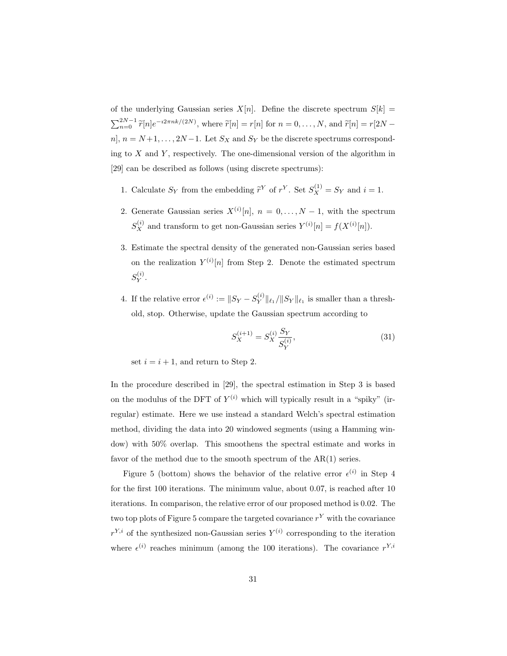of the underlying Gaussian series  $X[n]$ . Define the discrete spectrum  $S[k] =$  $\sum_{n=0}^{2N-1} \tilde{r}[n]e^{-i2\pi nk/(2N)}$ , where  $\tilde{r}[n] = r[n]$  for  $n = 0, ..., N$ , and  $\tilde{r}[n] = r[2N$ n],  $n = N+1, \ldots, 2N-1$ . Let  $S_X$  and  $S_Y$  be the discrete spectrums corresponding to  $X$  and  $Y$ , respectively. The one-dimensional version of the algorithm in [29] can be described as follows (using discrete spectrums):

- 1. Calculate  $S_Y$  from the embedding  $\tilde{r}^Y$  of  $r^Y$ . Set  $S_X^{(1)} = S_Y$  and  $i = 1$ .
- 2. Generate Gaussian series  $X^{(i)}[n], n = 0, \ldots, N-1$ , with the spectrum  $S_X^{(i)}$  and transform to get non-Gaussian series  $Y^{(i)}[n] = f(X^{(i)}[n])$ .
- 3. Estimate the spectral density of the generated non-Gaussian series based on the realization  $Y^{(i)}[n]$  from Step 2. Denote the estimated spectrum  $S_Y^{(i)}$  .
- 4. If the relative error  $\epsilon^{(i)} := ||S_Y S_Y^{(i)}||_{\ell_1}/||S_Y||_{\ell_1}$  is smaller than a threshold, stop. Otherwise, update the Gaussian spectrum according to

$$
S_X^{(i+1)} = S_X^{(i)} \frac{S_Y}{S_Y^{(i)}},\tag{31}
$$

set  $i = i + 1$ , and return to Step 2.

In the procedure described in [29], the spectral estimation in Step 3 is based on the modulus of the DFT of  $Y^{(i)}$  which will typically result in a "spiky" (irregular) estimate. Here we use instead a standard Welch's spectral estimation method, dividing the data into 20 windowed segments (using a Hamming window) with 50% overlap. This smoothens the spectral estimate and works in favor of the method due to the smooth spectrum of the AR(1) series.

Figure 5 (bottom) shows the behavior of the relative error  $\epsilon^{(i)}$  in Step 4 for the first 100 iterations. The minimum value, about 0.07, is reached after 10 iterations. In comparison, the relative error of our proposed method is 0.02. The two top plots of Figure 5 compare the targeted covariance  $r<sup>Y</sup>$  with the covariance  $r^{Y,i}$  of the synthesized non-Gaussian series  $Y^{(i)}$  corresponding to the iteration where  $\epsilon^{(i)}$  reaches minimum (among the 100 iterations). The covariance  $r^{Y,i}$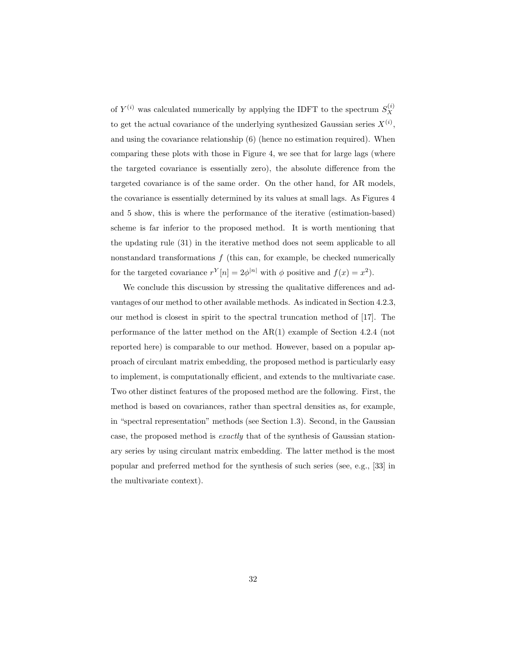of  $Y^{(i)}$  was calculated numerically by applying the IDFT to the spectrum  $S_X^{(i)}$ to get the actual covariance of the underlying synthesized Gaussian series  $X^{(i)}$ , and using the covariance relationship (6) (hence no estimation required). When comparing these plots with those in Figure 4, we see that for large lags (where the targeted covariance is essentially zero), the absolute difference from the targeted covariance is of the same order. On the other hand, for AR models, the covariance is essentially determined by its values at small lags. As Figures 4 and 5 show, this is where the performance of the iterative (estimation-based) scheme is far inferior to the proposed method. It is worth mentioning that the updating rule (31) in the iterative method does not seem applicable to all nonstandard transformations  $f$  (this can, for example, be checked numerically for the targeted covariance  $r^{Y}[n]=2\phi^{|n|}$  with  $\phi$  positive and  $f(x) = x^{2}$ .

We conclude this discussion by stressing the qualitative differences and advantages of our method to other available methods. As indicated in Section 4.2.3, our method is closest in spirit to the spectral truncation method of [17]. The performance of the latter method on the AR(1) example of Section 4.2.4 (not reported here) is comparable to our method. However, based on a popular approach of circulant matrix embedding, the proposed method is particularly easy to implement, is computationally efficient, and extends to the multivariate case. Two other distinct features of the proposed method are the following. First, the method is based on covariances, rather than spectral densities as, for example, in "spectral representation" methods (see Section 1.3). Second, in the Gaussian case, the proposed method is exactly that of the synthesis of Gaussian stationary series by using circulant matrix embedding. The latter method is the most popular and preferred method for the synthesis of such series (see, e.g., [33] in the multivariate context).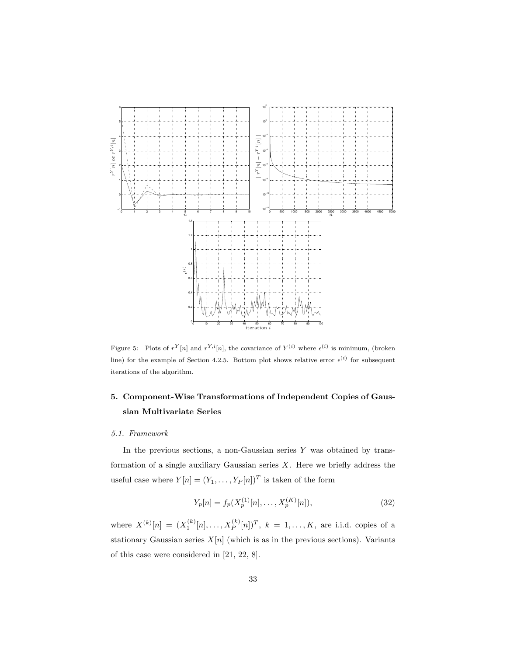

Figure 5: Plots of  $r^Y[n]$  and  $r^{Y,i}[n]$ , the covariance of  $Y^{(i)}$  where  $\epsilon^{(i)}$  is minimum, (broken line) for the example of Section 4.2.5. Bottom plot shows relative error  $\epsilon^{(i)}$  for subsequent iterations of the algorithm.

# 5. Component-Wise Transformations of Independent Copies of Gaussian Multivariate Series

# 5.1. Framework

In the previous sections, a non-Gaussian series  $Y$  was obtained by transformation of a single auxiliary Gaussian series  $X$ . Here we briefly address the useful case where  $Y[n]=(Y_1,\ldots,Y_P[n])^T$  is taken of the form

$$
Y_p[n] = f_p(X_p^{(1)}[n], \dots, X_p^{(K)}[n]),\tag{32}
$$

where  $X^{(k)}[n] = (X_1^{(k)}[n], \ldots, X_P^{(k)}[n])^T$ ,  $k = 1, \ldots, K$ , are i.i.d. copies of a stationary Gaussian series  $X[n]$  (which is as in the previous sections). Variants of this case were considered in [21, 22, 8].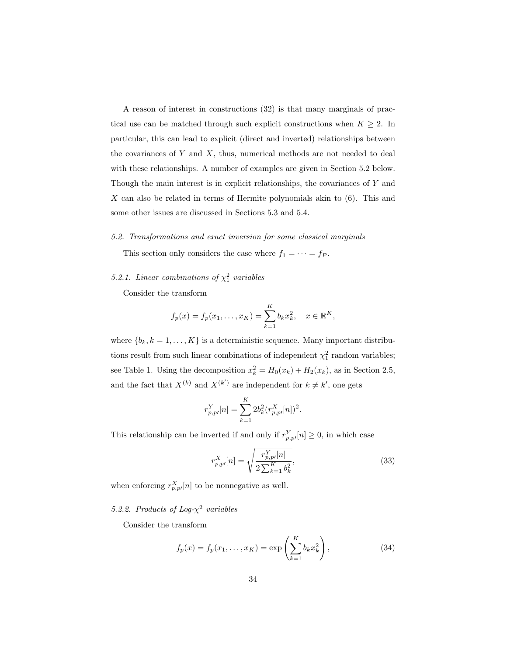A reason of interest in constructions (32) is that many marginals of practical use can be matched through such explicit constructions when  $K \geq 2$ . In particular, this can lead to explicit (direct and inverted) relationships between the covariances of  $Y$  and  $X$ , thus, numerical methods are not needed to deal with these relationships. A number of examples are given in Section 5.2 below. Though the main interest is in explicit relationships, the covariances of Y and X can also be related in terms of Hermite polynomials akin to  $(6)$ . This and some other issues are discussed in Sections 5.3 and 5.4.

### 5.2. Transformations and exact inversion for some classical marginals

This section only considers the case where  $f_1 = \cdots = f_P$ .

# 5.2.1. Linear combinations of  $\chi^2$  variables

Consider the transform

$$
f_p(x) = f_p(x_1,...,x_K) = \sum_{k=1}^K b_k x_k^2, \quad x \in \mathbb{R}^K,
$$

where  $\{b_k, k = 1, \ldots, K\}$  is a deterministic sequence. Many important distributions result from such linear combinations of independent  $\chi_1^2$  random variables; see Table 1. Using the decomposition  $x_k^2 = H_0(x_k) + H_2(x_k)$ , as in Section 2.5, and the fact that  $X^{(k)}$  and  $X^{(k')}$  are independent for  $k \neq k'$ , one gets

$$
r_{p,p'}^Y[n] = \sum_{k=1}^K 2b_k^2 (r_{p,p'}^X[n])^2.
$$

This relationship can be inverted if and only if  $r_{p,p}^{Y}[n] \geq 0$ , in which case

$$
r_{p,p'}^X[n] = \sqrt{\frac{r_{p,p'}^Y[n]}{2\sum_{k=1}^K b_k^2}},\tag{33}
$$

when enforcing  $r_{p,p'}^X[n]$  to be nonnegative as well.

5.2.2. Products of Log- $\chi^2$  variables

Consider the transform

$$
f_p(x) = f_p(x_1, ..., x_K) = \exp\left(\sum_{k=1}^K b_k x_k^2\right),
$$
 (34)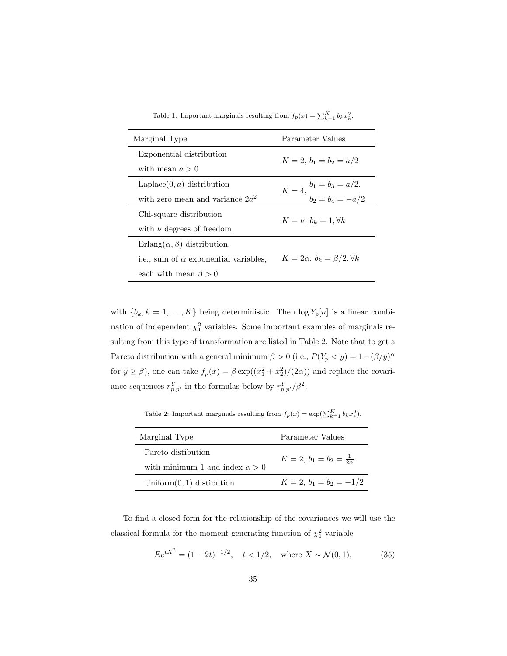|  | Table 1: Important marginals resulting from $f_p(x) = \sum_{k=1}^{K} b_k x_k^2$ . |  |  |  |
|--|-----------------------------------------------------------------------------------|--|--|--|
|--|-----------------------------------------------------------------------------------|--|--|--|

| Marginal Type                                | Parameter Values                                  |  |
|----------------------------------------------|---------------------------------------------------|--|
| Exponential distribution                     | $K = 2, b_1 = b_2 = a/2$                          |  |
| with mean $a > 0$                            |                                                   |  |
| Laplace $(0, a)$ distribution                |                                                   |  |
| with zero mean and variance $2a^2$           | $K = 4, \frac{b_1 = b_3 = a/2}{b_2 = b_4 = -a/2}$ |  |
| Chi-square distribution                      | $K=\nu, b_k=1, \forall k$                         |  |
| with $\nu$ degrees of freedom                |                                                   |  |
| Erlang $(\alpha, \beta)$ distribution,       |                                                   |  |
| i.e., sum of $\alpha$ exponential variables, | $K=2\alpha, b_k=\beta/2, \forall k$               |  |
| each with mean $\beta > 0$                   |                                                   |  |

with  ${b_k, k = 1, ..., K}$  being deterministic. Then  $log Y_p[n]$  is a linear combination of independent  $\chi_1^2$  variables. Some important examples of marginals resulting from this type of transformation are listed in Table 2. Note that to get a Pareto distribution with a general minimum  $\beta > 0$  (i.e.,  $P(Y_p < y) = 1 - (\beta/y)^{\alpha}$ for  $y \ge \beta$ ), one can take  $f_p(x) = \beta \exp((x_1^2 + x_2^2)/(2\alpha))$  and replace the covariance sequences  $r_{p,p'}^Y$  in the formulas below by  $r_{p,p'}^Y/\beta^2$ .

Table 2: Important marginals resulting from  $f_p(x) = \exp(\sum_{k=1}^K b_k x_k^2)$ .

| Marginal Type                         | Parameter Values                 |  |
|---------------------------------------|----------------------------------|--|
| Pareto distibution                    | $K=2, b_1=b_2=\frac{1}{2\alpha}$ |  |
| with minimum 1 and index $\alpha > 0$ |                                  |  |
| Uniform $(0, 1)$ distibution          | $K = 2, b_1 = b_2 = -1/2$        |  |

To find a closed form for the relationship of the covariances we will use the classical formula for the moment-generating function of  $\chi^2$  variable

$$
E e^{tX^2} = (1 - 2t)^{-1/2}, \quad t < 1/2, \quad \text{where } X \sim \mathcal{N}(0, 1), \tag{35}
$$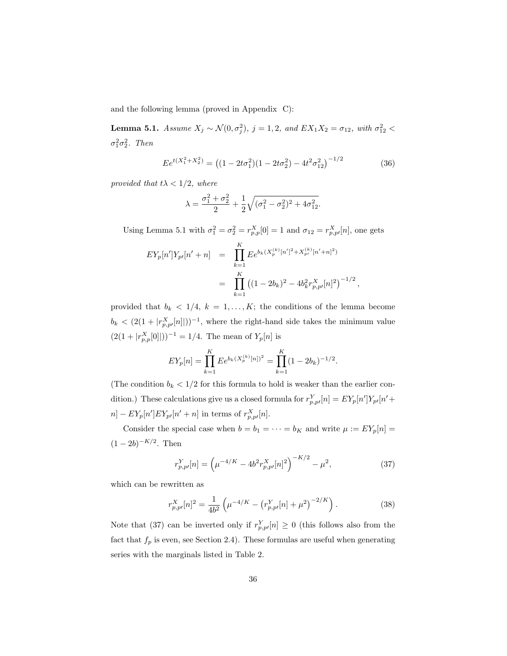and the following lemma (proved in Appendix C):

**Lemma 5.1.** Assume  $X_j \sim \mathcal{N}(0, \sigma_j^2)$ ,  $j = 1, 2$ , and  $EX_1X_2 = \sigma_{12}$ , with  $\sigma_{12}^2$  <  $\sigma_1^2 \sigma_2^2$ . Then

$$
E e^{t(X_1^2 + X_2^2)} = ((1 - 2t\sigma_1^2)(1 - 2t\sigma_2^2) - 4t^2\sigma_{12}^2)^{-1/2}
$$
 (36)

,

provided that  $t\lambda < 1/2$ , where

$$
\lambda = \frac{\sigma_1^2 + \sigma_2^2}{2} + \frac{1}{2}\sqrt{(\sigma_1^2 - \sigma_2^2)^2 + 4\sigma_{12}^2}.
$$

Using Lemma 5.1 with  $\sigma_1^2 = \sigma_2^2 = r_{p,p}^X[0] = 1$  and  $\sigma_{12} = r_{p,p}^X[n]$ , one gets

$$
EY_p[n'|Y_{p'}[n'+n] = \prod_{k=1}^K E e^{b_k (X_p^{(k)}[n']^2 + X_{p'}^{(k)}[n'+n]^2)}
$$
  
= 
$$
\prod_{k=1}^K ((1-2b_k)^2 - 4b_k^2 r_{p,p'}^X[n]^2)^{-1/2}
$$

provided that  $b_k < 1/4$ ,  $k = 1, ..., K$ ; the conditions of the lemma become  $b_k < (2(1 + |r_{p,p'}^X[n]|))^{-1}$ , where the right-hand side takes the minimum value  $(2(1+|r_{p,p}^X[0]|))^{-1} = 1/4$ . The mean of  $Y_p[n]$  is

$$
EY_p[n] = \prod_{k=1}^K E e^{b_k (X_p^{(k)}[n])^2} = \prod_{k=1}^K (1 - 2b_k)^{-1/2}.
$$

(The condition  $b_k < 1/2$  for this formula to hold is weaker than the earlier condition.) These calculations give us a closed formula for  $r_{p,p}^Y[n] = EY_p[n']Y_{p'}[n' +$  $n] - EY_p[n'] EY_{p'}[n' + n]$  in terms of  $r_{p,p'}^X[n]$ .

Consider the special case when  $b = b_1 = \cdots = b_K$  and write  $\mu := EY_p[n] =$  $(1 - 2b)^{-K/2}$ . Then

$$
r_{p,p'}^Y[n] = \left(\mu^{-4/K} - 4b^2 r_{p,p'}^X[n]^2\right)^{-K/2} - \mu^2,\tag{37}
$$

which can be rewritten as

$$
r_{p,p}^{X}[n]^{2} = \frac{1}{4b^{2}} \left( \mu^{-4/K} - \left( r_{p,p}^{Y}[n] + \mu^{2} \right)^{-2/K} \right). \tag{38}
$$

Note that (37) can be inverted only if  $r_{p,p}^Y[n] \geq 0$  (this follows also from the fact that  $f_p$  is even, see Section 2.4). These formulas are useful when generating series with the marginals listed in Table 2.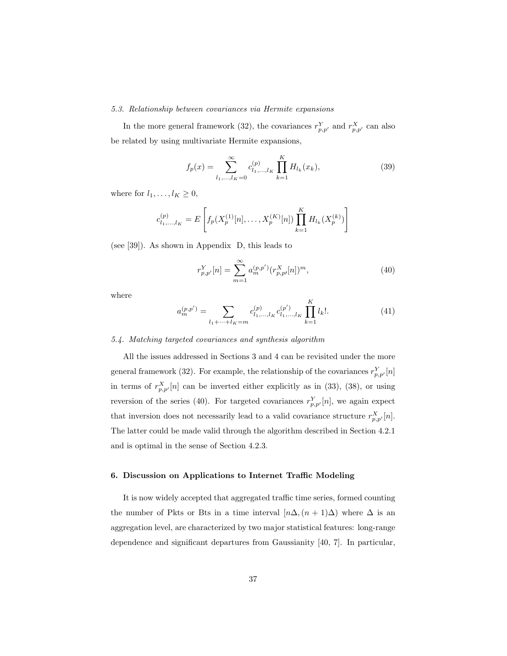### 5.3. Relationship between covariances via Hermite expansions

In the more general framework (32), the covariances  $r_{p,p'}^Y$  and  $r_{p,p'}^X$  can also be related by using multivariate Hermite expansions,

$$
f_p(x) = \sum_{l_1,\dots,l_K=0}^{\infty} c_{l_1,\dots,l_K}^{(p)} \prod_{k=1}^K H_{l_k}(x_k),
$$
\n(39)

where for  $l_1,\ldots,l_K \geq 0$ ,

$$
c_{l_1,\ldots,l_K}^{(p)} = E\left[f_p(X_p^{(1)}[n],\ldots,X_p^{(K)}[n])\prod_{k=1}^K H_{l_k}(X_p^{(k)})\right]
$$

(see [39]). As shown in Appendix D, this leads to

$$
r_{p,p'}^Y[n] = \sum_{m=1}^{\infty} a_m^{(p,p')}(r_{p,p'}^X[n])^m,
$$
\n(40)

where

$$
a_m^{(p,p')} = \sum_{l_1 + \dots + l_K = m} c_{l_1, \dots, l_K}^{(p)} c_{l_1, \dots, l_K}^{(p')} \prod_{k=1}^K l_k!.
$$
 (41)

### 5.4. Matching targeted covariances and synthesis algorithm

All the issues addressed in Sections 3 and 4 can be revisited under the more general framework (32). For example, the relationship of the covariances  $r_{p,p'}^Y[n]$ in terms of  $r_{p,p'}^X[n]$  can be inverted either explicitly as in (33), (38), or using reversion of the series (40). For targeted covariances  $r_{p,p'}^Y[n]$ , we again expect that inversion does not necessarily lead to a valid covariance structure  $r_{p,p'}^X[n]$ . The latter could be made valid through the algorithm described in Section 4.2.1 and is optimal in the sense of Section 4.2.3.

# 6. Discussion on Applications to Internet Traffic Modeling

It is now widely accepted that aggregated traffic time series, formed counting the number of Pkts or Bts in a time interval  $[n\Delta,(n+1)\Delta)$  where  $\Delta$  is an aggregation level, are characterized by two major statistical features: long-range dependence and significant departures from Gaussianity [40, 7]. In particular,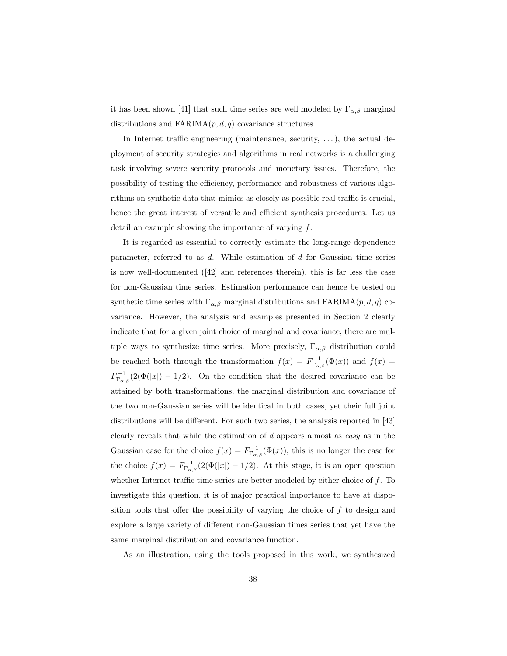it has been shown [41] that such time series are well modeled by  $\Gamma_{\alpha,\beta}$  marginal distributions and  $FARIMA(p, d, q)$  covariance structures.

In Internet traffic engineering (maintenance, security, ...), the actual deployment of security strategies and algorithms in real networks is a challenging task involving severe security protocols and monetary issues. Therefore, the possibility of testing the efficiency, performance and robustness of various algorithms on synthetic data that mimics as closely as possible real traffic is crucial, hence the great interest of versatile and efficient synthesis procedures. Let us detail an example showing the importance of varying f.

It is regarded as essential to correctly estimate the long-range dependence parameter, referred to as  $d$ . While estimation of  $d$  for Gaussian time series is now well-documented ([42] and references therein), this is far less the case for non-Gaussian time series. Estimation performance can hence be tested on synthetic time series with  $\Gamma_{\alpha,\beta}$  marginal distributions and FARIMA $(p, d, q)$  covariance. However, the analysis and examples presented in Section 2 clearly indicate that for a given joint choice of marginal and covariance, there are multiple ways to synthesize time series. More precisely,  $\Gamma_{\alpha,\beta}$  distribution could be reached both through the transformation  $f(x) = F^{-1}_{\Gamma_{\alpha,\beta}}(\Phi(x))$  and  $f(x) =$  $F_{\Gamma_{\alpha,\beta}}^{-1}(2(\Phi(|x|)-1/2))$ . On the condition that the desired covariance can be attained by both transformations, the marginal distribution and covariance of the two non-Gaussian series will be identical in both cases, yet their full joint distributions will be different. For such two series, the analysis reported in [43] clearly reveals that while the estimation of  $d$  appears almost as easy as in the Gaussian case for the choice  $f(x) = F_{\Gamma_{\alpha,\beta}}^{-1}(\Phi(x))$ , this is no longer the case for the choice  $f(x) = F_{\Gamma_{\alpha,\beta}}^{-1}(2(\Phi(|x|) - 1/2))$ . At this stage, it is an open question whether Internet traffic time series are better modeled by either choice of  $f$ . To investigate this question, it is of major practical importance to have at disposition tools that offer the possibility of varying the choice of  $f$  to design and explore a large variety of different non-Gaussian times series that yet have the same marginal distribution and covariance function.

As an illustration, using the tools proposed in this work, we synthesized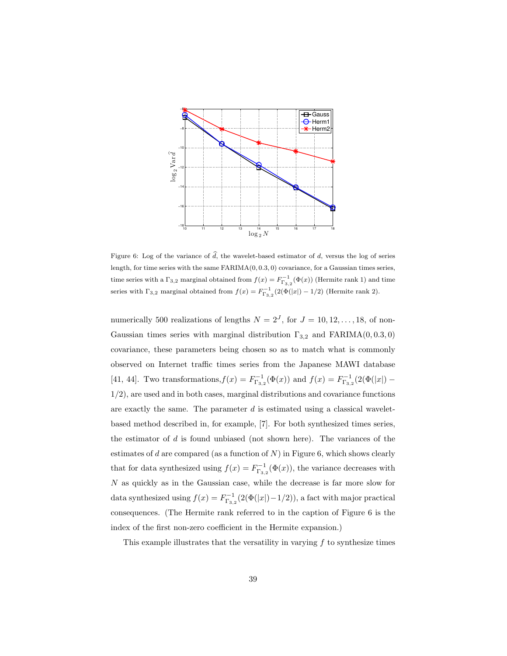

Figure 6: Log of the variance of  $d$ , the wavelet-based estimator of  $d$ , versus the log of series length, for time series with the same FARIMA(0, 0.3, 0) covariance, for a Gaussian times series, time series with a  $\Gamma_{3,2}$  marginal obtained from  $f(x) = F_{\Gamma_{3,2}}^{-1}(\Phi(x))$  (Hermite rank 1) and time series with  $\Gamma_{3,2}$  marginal obtained from  $f(x) = F_{\Gamma_{3,2}}^{-1}(2(\Phi(|x|) - 1/2))$  (Hermite rank 2).

numerically 500 realizations of lengths  $N = 2<sup>J</sup>$ , for  $J = 10, 12, ..., 18$ , of non-Gaussian times series with marginal distribution  $\Gamma_{3,2}$  and  $FARIMA(0, 0.3, 0)$ covariance, these parameters being chosen so as to match what is commonly observed on Internet traffic times series from the Japanese MAWI database [41, 44]. Two transformations,  $f(x) = F_{\Gamma_{3,2}}^{-1}(\Phi(x))$  and  $f(x) = F_{\Gamma_{3,2}}^{-1}(2(\Phi(|x|) -$ 1/2), are used and in both cases, marginal distributions and covariance functions are exactly the same. The parameter  $d$  is estimated using a classical waveletbased method described in, for example, [7]. For both synthesized times series, the estimator of  $d$  is found unbiased (not shown here). The variances of the estimates of d are compared (as a function of  $N$ ) in Figure 6, which shows clearly that for data synthesized using  $f(x) = F_{\Gamma_{3,2}}^{-1}(\Phi(x))$ , the variance decreases with  $N$  as quickly as in the Gaussian case, while the decrease is far more slow for data synthesized using  $f(x) = F_{\Gamma_{3,2}}^{-1}(2(\Phi(|x|)-1/2))$ , a fact with major practical consequences. (The Hermite rank referred to in the caption of Figure 6 is the index of the first non-zero coefficient in the Hermite expansion.)

This example illustrates that the versatility in varying  $f$  to synthesize times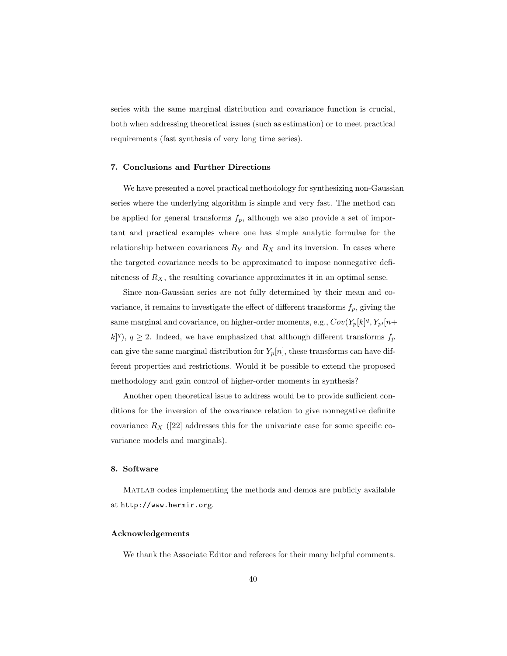series with the same marginal distribution and covariance function is crucial, both when addressing theoretical issues (such as estimation) or to meet practical requirements (fast synthesis of very long time series).

# 7. Conclusions and Further Directions

We have presented a novel practical methodology for synthesizing non-Gaussian series where the underlying algorithm is simple and very fast. The method can be applied for general transforms  $f_p$ , although we also provide a set of important and practical examples where one has simple analytic formulae for the relationship between covariances  $R_Y$  and  $R_X$  and its inversion. In cases where the targeted covariance needs to be approximated to impose nonnegative definiteness of  $R_X$ , the resulting covariance approximates it in an optimal sense.

Since non-Gaussian series are not fully determined by their mean and covariance, it remains to investigate the effect of different transforms  $f_p$ , giving the same marginal and covariance, on higher-order moments, e.g.,  $Cov(Y_p[k]^q, Y_{p^I}[n+$  $(k)^{q}$ ,  $q \geq 2$ . Indeed, we have emphasized that although different transforms  $f_{p}$ can give the same marginal distribution for  $Y_p[n]$ , these transforms can have different properties and restrictions. Would it be possible to extend the proposed methodology and gain control of higher-order moments in synthesis?

Another open theoretical issue to address would be to provide sufficient conditions for the inversion of the covariance relation to give nonnegative definite covariance  $R_X$  ([22] addresses this for the univariate case for some specific covariance models and marginals).

# 8. Software

Matlab codes implementing the methods and demos are publicly available at http://www.hermir.org.

# Acknowledgements

We thank the Associate Editor and referees for their many helpful comments.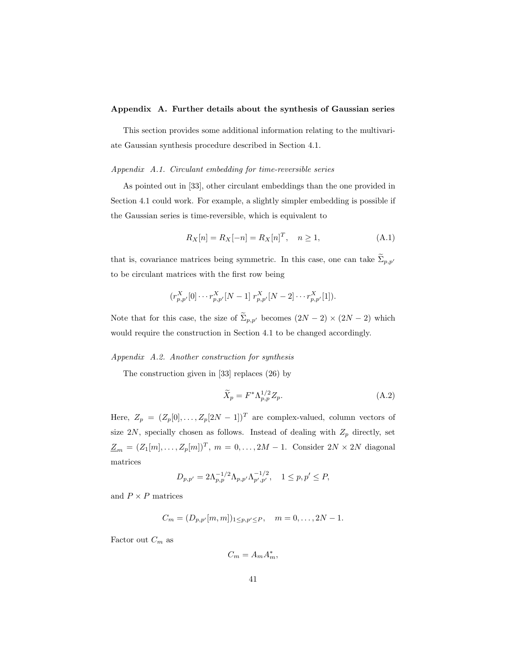### Appendix A. Further details about the synthesis of Gaussian series

This section provides some additional information relating to the multivariate Gaussian synthesis procedure described in Section 4.1.

# Appendix A.1. Circulant embedding for time-reversible series

As pointed out in [33], other circulant embeddings than the one provided in Section 4.1 could work. For example, a slightly simpler embedding is possible if the Gaussian series is time-reversible, which is equivalent to

$$
R_X[n] = R_X[-n] = R_X[n]^T, \quad n \ge 1,
$$
\n(A.1)

that is, covariance matrices being symmetric. In this case, one can take  $\widetilde{\Sigma}_{p,p'}$ to be circulant matrices with the first row being

$$
(r_{p,p'}^X[0] \cdots r_{p,p'}^X[N-1] \; r_{p,p'}^X[N-2] \cdots r_{p,p'}^X[1]).
$$

Note that for this case, the size of  $\widetilde{\Sigma}_{p,p'}$  becomes  $(2N-2) \times (2N-2)$  which would require the construction in Section 4.1 to be changed accordingly.

### Appendix A.2. Another construction for synthesis

The construction given in [33] replaces (26) by

$$
\widetilde{X}_p = F^* \Lambda_{p,p}^{1/2} Z_p. \tag{A.2}
$$

Here,  $Z_p = (Z_p[0], \ldots, Z_p[2N-1])^T$  are complex-valued, column vectors of size 2N, specially chosen as follows. Instead of dealing with  $Z_p$  directly, set  $\underline{Z}_m = (Z_1[m], \ldots, Z_p[m])^T$ ,  $m = 0, \ldots, 2M - 1$ . Consider  $2N \times 2N$  diagonal matrices

$$
D_{p,p'} = 2\Lambda_{p,p}^{-1/2} \Lambda_{p,p'} \Lambda_{p',p'}^{-1/2}, \quad 1 \le p,p' \le P,
$$

and  $P\times P$  matrices

$$
C_m = (D_{p,p'}[m,m])_{1 \leq p,p' \leq P}, \quad m = 0,\ldots,2N-1.
$$

Factor out  $C_m$  as

$$
C_m = A_m A_m^*,
$$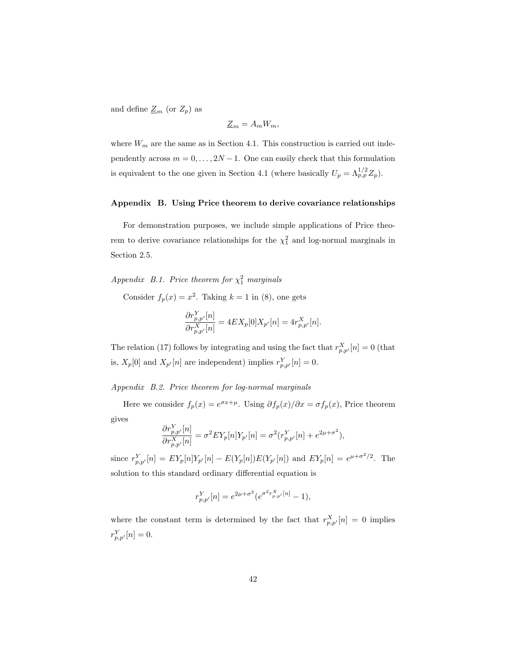and define  $\underline{Z}_m$  (or  $Z_p$ ) as

$$
\underline{Z}_m = A_m W_m,
$$

where  $W_m$  are the same as in Section 4.1. This construction is carried out independently across  $m = 0, \ldots, 2N - 1$ . One can easily check that this formulation is equivalent to the one given in Section 4.1 (where basically  $U_p = \Lambda_{p,p}^{1/2} Z_p$ ).

### Appendix B. Using Price theorem to derive covariance relationships

For demonstration purposes, we include simple applications of Price theorem to derive covariance relationships for the  $\chi_1^2$  and log-normal marginals in Section 2.5.

Appendix B.1. Price theorem for  $\chi_1^2$  marginals

Consider  $f_p(x) = x^2$ . Taking  $k = 1$  in (8), one gets

$$
\frac{\partial r_{p,p'}^Y[n]}{\partial r_{p,p'}^X[n]} = 4EX_p[0]X_{p'}[n] = 4r_{p,p'}^X[n].
$$

The relation (17) follows by integrating and using the fact that  $r_{p,p'}^X[n] = 0$  (that is,  $X_p[0]$  and  $X_{p'}[n]$  are independent) implies  $r_{p,p'}^Y[n] = 0$ .

Appendix B.2. Price theorem for log-normal marginals

Here we consider  $f_p(x) = e^{\sigma x + \mu}$ . Using  $\partial f_p(x)/\partial x = \sigma f_p(x)$ , Price theorem gives

$$
\frac{\partial r_{p,p'}^Y[n]}{\partial r_{p,p'}^X[n]} = \sigma^2 E Y_p[n] Y_{p'}[n] = \sigma^2 (r_{p,p'}^Y[n] + e^{2\mu + \sigma^2}),
$$

since  $r_{p,p'}^Y[n] = EY_p[n]Y_{p'}[n] - E(Y_p[n])E(Y_{p'}[n])$  and  $EY_p[n] = e^{\mu + \sigma^2/2}$ . The solution to this standard ordinary differential equation is

$$
r_{p,p'}^Y[n] = e^{2\mu + \sigma^2} (e^{\sigma^2 r_{p,p'}^X[n]} - 1),
$$

where the constant term is determined by the fact that  $r_{p,p'}^X[n] = 0$  implies  $r_{p,p'}^Y[n] = 0.$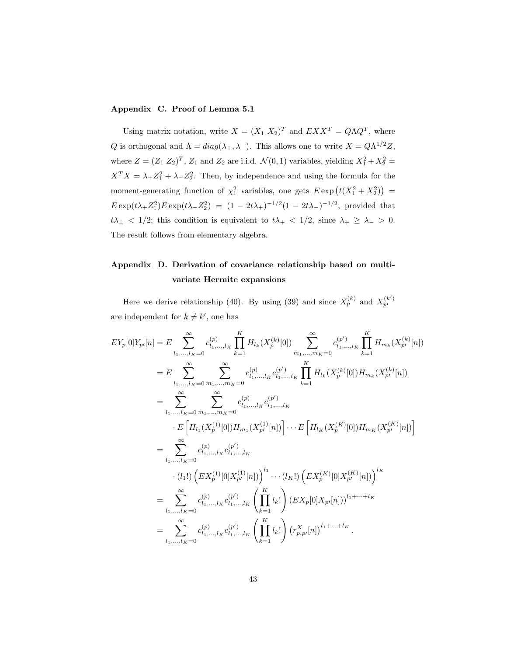# Appendix C. Proof of Lemma 5.1

Using matrix notation, write  $X = (X_1 \ X_2)^T$  and  $EXX^T = Q\Lambda Q^T$ , where Q is orthogonal and  $\Lambda = diag(\lambda_+, \lambda_-)$ . This allows one to write  $X = Q\Lambda^{1/2}Z$ , where  $Z = (Z_1 Z_2)^T$ ,  $Z_1$  and  $Z_2$  are i.i.d.  $\mathcal{N}(0,1)$  variables, yielding  $X_1^2 + X_2^2 =$  $X^T X = \lambda_+ Z_1^2 + \lambda_- Z_2^2$ . Then, by independence and using the formula for the moment-generating function of  $\chi_1^2$  variables, one gets  $E \exp(t(X_1^2 + X_2^2))$  =  $E \exp(t\lambda_+ Z_1^2) E \exp(t\lambda_- Z_2^2) = (1 - 2t\lambda_+)^{-1/2} (1 - 2t\lambda_-)^{-1/2}$ , provided that  $t\lambda_{\pm}$  < 1/2; this condition is equivalent to  $t\lambda_{+}$  < 1/2, since  $\lambda_{+}$   $\geq \lambda_{-}$  > 0. The result follows from elementary algebra.

# Appendix D. Derivation of covariance relationship based on multivariate Hermite expansions

Here we derive relationship (40). By using (39) and since  $X_p^{(k)}$  and  $X_{p'}^{(k')}$ are independent for  $k \neq k'$ , one has

$$
EY_{p}[0]Y_{p'}[n] = E \sum_{l_{1},...,l_{K}=0}^{\infty} c_{l_{1},...,l_{K}}^{(p)} \prod_{k=1}^{K} H_{l_{k}}(X_{p}^{(k)}[0]) \sum_{m_{1},...,m_{K}=0}^{\infty} c_{l_{1},...,l_{K}}^{(p')} \prod_{k=1}^{K} H_{m_{k}}(X_{p'}^{(k)}[n])
$$
  
\n
$$
= E \sum_{l_{1},...,l_{K}=0}^{\infty} \sum_{m_{1},...,m_{K}=0}^{\infty} c_{l_{1},...,l_{K}}^{(p)} c_{l_{1},...,l_{K}}^{(p')} \prod_{k=1}^{K} H_{l_{k}}(X_{p}^{(k)}[0]) H_{m_{k}}(X_{p'}^{(k)}[n])
$$
  
\n
$$
= \sum_{l_{1},...,l_{K}=0}^{\infty} \sum_{m_{1},...,m_{K}=0}^{\infty} c_{l_{1},...,l_{K}}^{(p)} c_{l_{1},...,l_{K}}^{(p')} \prod_{k=1}^{K} H_{l_{k}}(X_{p}^{(k)}[0]) H_{m_{k}}(X_{p'}^{(k)}[n])
$$
  
\n
$$
= \sum_{l_{1},...,l_{K}=0}^{\infty} c_{l_{1},...,l_{K}}^{(p)} c_{l_{1},...,l_{K}}^{(p')} \prod_{k=1}^{K} L_{k} (X_{p}^{(K)}[0]) H_{m_{K}}(X_{p'}^{(K)}[n])
$$
  
\n
$$
= \sum_{l_{1},...,l_{K}=0}^{\infty} c_{l_{1},...,l_{K}}^{(p)} c_{l_{1},...,l_{K}}^{(p')} \prod_{k=1}^{K} l_{k}! \Big( EX_{p}[0]X_{p'}[n]) \Big)^{l_{1}+...+l_{K}}
$$
  
\n
$$
= \sum_{l_{1},...,l_{K}=0}^{\infty} c_{l_{1},...,l_{K}}^{(p)} c_{l_{1},...,l_{K}}^{(p')} \prod_{k=1}^{K} l_{k}! \Big) (EX_{p}[0]X_{p'}[n]) \Big)^{l_{1}+...+l_{K}}.
$$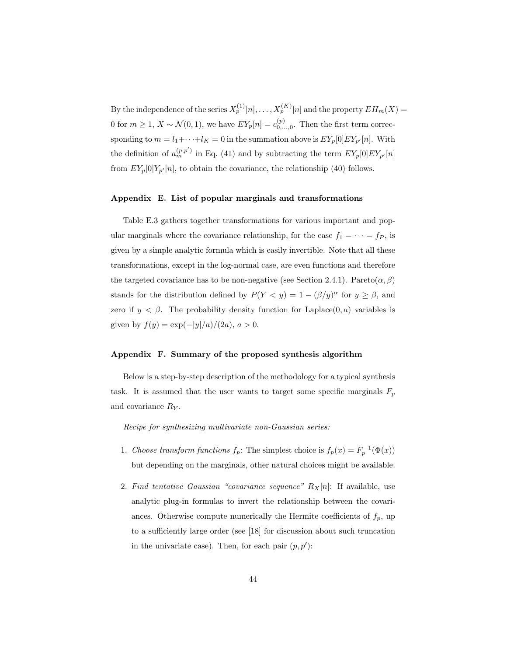By the independence of the series  $X_p^{(1)}[n], \ldots, X_p^{(K)}[n]$  and the property  $EH_m(X) =$ 0 for  $m \ge 1$ ,  $X \sim \mathcal{N}(0, 1)$ , we have  $EY_p[n] = c_{0,\ldots,0}^{(p)}$ . Then the first term correcsponding to  $m = l_1 + \cdots + l_K = 0$  in the summation above is  $EY_p[0]EY_{p'}[n]$ . With the definition of  $a_m^{(p,p')}$  in Eq. (41) and by subtracting the term  $EY_p[0]EY_{p'}[n]$ from  $EY_p[0]Y_{p'}[n]$ , to obtain the covariance, the relationship (40) follows.

### Appendix E. List of popular marginals and transformations

Table E.3 gathers together transformations for various important and popular marginals where the covariance relationship, for the case  $f_1 = \cdots = f_P$ , is given by a simple analytic formula which is easily invertible. Note that all these transformations, except in the log-normal case, are even functions and therefore the targeted covariance has to be non-negative (see Section 2.4.1). Pareto $(\alpha, \beta)$ stands for the distribution defined by  $P(Y < y) = 1 - (\beta/y)^{\alpha}$  for  $y \ge \beta$ , and zero if  $y < \beta$ . The probability density function for Laplace(0, a) variables is given by  $f(y) = \exp(-|y|/a)/(2a)$ ,  $a > 0$ .

### Appendix F. Summary of the proposed synthesis algorithm

Below is a step-by-step description of the methodology for a typical synthesis task. It is assumed that the user wants to target some specific marginals  $F_p$ and covariance  $R_Y$ .

Recipe for synthesizing multivariate non-Gaussian series:

- 1. Choose transform functions  $f_p$ : The simplest choice is  $f_p(x) = F_p^{-1}(\Phi(x))$ but depending on the marginals, other natural choices might be available.
- 2. Find tentative Gaussian "covariance sequence"  $R_X[n]$ : If available, use analytic plug-in formulas to invert the relationship between the covariances. Otherwise compute numerically the Hermite coefficients of  $f_p$ , up to a sufficiently large order (see [18] for discussion about such truncation in the univariate case). Then, for each pair  $(p, p')$ :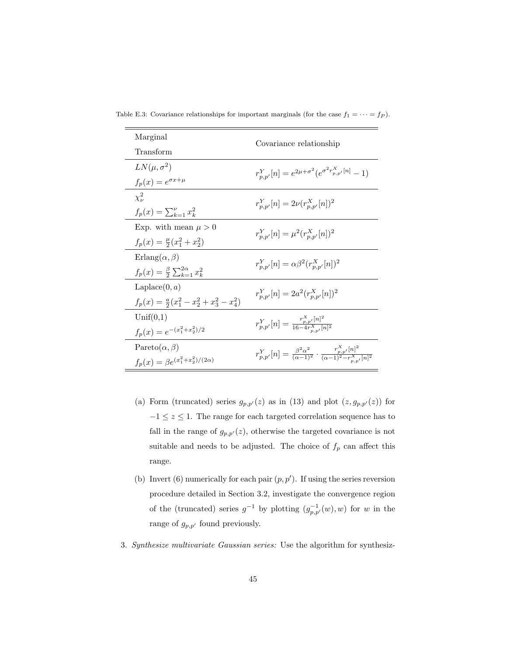| Marginal                                              | Covariance relationship                                                                                                  |  |
|-------------------------------------------------------|--------------------------------------------------------------------------------------------------------------------------|--|
| Transform                                             |                                                                                                                          |  |
| $LN(\mu, \sigma^2)$                                   | $r_{n,n'}^Y[n] = e^{2\mu + \sigma^2} (e^{\sigma^2 r_{p,p'}^X[n]} - 1)$                                                   |  |
| $f_p(x) = e^{\sigma x + \mu}$                         |                                                                                                                          |  |
| $\chi^2_{\nu}$                                        | $r_{n,p'}^Y[n] = 2\nu(r_{n,p'}^X[n])^2$                                                                                  |  |
| $f_p(x) = \sum_{k=1}^{p} x_k^2$                       |                                                                                                                          |  |
| Exp. with mean $\mu > 0$                              | $r_{n,p'}^Y[n] = \mu^2(r_{n,p'}^X[n])^2$                                                                                 |  |
| $f_p(x) = \frac{\mu}{2}(x_1^2 + x_2^2)$               |                                                                                                                          |  |
| $Erlang(\alpha, \beta)$                               |                                                                                                                          |  |
| $f_p(x) = \frac{\beta}{2} \sum_{k=1}^{2\alpha} x_k^2$ | $r_{n,n'}^Y[n] = \alpha \beta^2 (r_{n,n'}^X[n])^2$                                                                       |  |
| Laplace $(0, a)$                                      | $r_{n,n'}^Y[n] = 2a^2(r_{n,n'}^X[n])^2$                                                                                  |  |
| $f_n(x) = \frac{a}{2}(x_1^2 - x_2^2 + x_3^2 - x_4^2)$ |                                                                                                                          |  |
| Unif(0,1)                                             | $r_{p,p'}^Y[n] = \frac{r_{p,p'}^{\alpha} n ^2}{16-4r^X \cdot  n ^2}$                                                     |  |
| $f_p(x) = e^{-(x_1^2 + x_2^2)/2}$                     |                                                                                                                          |  |
| Pareto $(\alpha, \beta)$                              | $r_{p,p'}^Y[n] = \frac{\beta^2 \alpha^2}{(\alpha - 1)^2} \cdot \frac{r_{p,p'}^X[n]^2}{(\alpha - 1)^2 - r_{p,p'}^X[n]^2}$ |  |
| $f_p(x) = \beta e^{(x_1^2 + x_2^2)/(2\alpha)}$        |                                                                                                                          |  |

Table E.3: Covariance relationships for important marginals (for the case  $f_1 = \cdots = f_P$ ).

- (a) Form (truncated) series  $g_{p,p'}(z)$  as in (13) and plot  $(z, g_{p,p'}(z))$  for  $-1\leq z\leq 1.$  The range for each targeted correlation sequence has to fall in the range of  $g_{p,p'}(z)$ , otherwise the targeted covariance is not suitable and needs to be adjusted. The choice of  $f_p$  can affect this range.
- (b) Invert (6) numerically for each pair  $(p, p')$ . If using the series reversion procedure detailed in Section 3.2, investigate the convergence region of the (truncated) series  $g^{-1}$  by plotting  $(g_{p,p'}^{-1}(w), w)$  for w in the range of  $g_{p,p'}$  found previously.
- 3. Synthesize multivariate Gaussian series: Use the algorithm for synthesiz-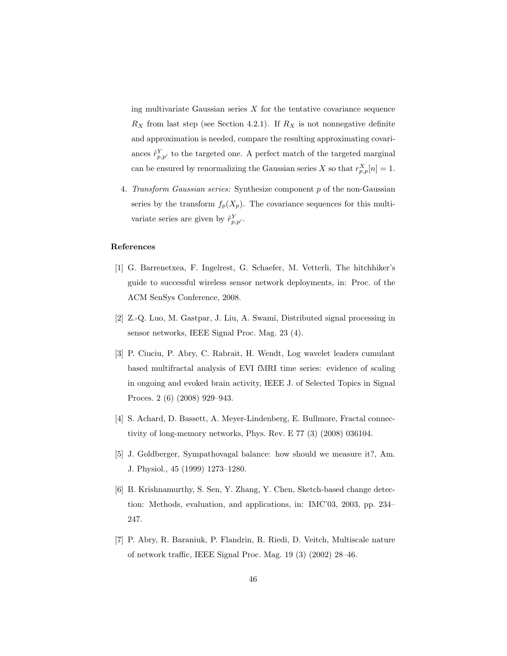ing multivariate Gaussian series  $X$  for the tentative covariance sequence  $R_X$  from last step (see Section 4.2.1). If  $R_X$  is not nonnegative definite and approximation is needed, compare the resulting approximating covariances  $\tilde{r}_{p,p'}^Y$  to the targeted one. A perfect match of the targeted marginal can be ensured by renormalizing the Gaussian series X so that  $r_{p,p}^X[n] = 1$ .

4. Transform Gaussian series: Synthesize component p of the non-Gaussian series by the transform  $f_p(X_p)$ . The covariance sequences for this multivariate series are given by  $\tilde{r}_{p,p'}^Y$ .

# References

- [1] G. Barrenetxea, F. Ingelrest, G. Schaefer, M. Vetterli, The hitchhiker's guide to successful wireless sensor network deployments, in: Proc. of the ACM SenSys Conference, 2008.
- [2] Z.-Q. Luo, M. Gastpar, J. Liu, A. Swami, Distributed signal processing in sensor networks, IEEE Signal Proc. Mag. 23 (4).
- [3] P. Ciuciu, P. Abry, C. Rabrait, H. Wendt, Log wavelet leaders cumulant based multifractal analysis of EVI fMRI time series: evidence of scaling in ongoing and evoked brain activity, IEEE J. of Selected Topics in Signal Proces. 2 (6) (2008) 929–943.
- [4] S. Achard, D. Bassett, A. Meyer-Lindenberg, E. Bullmore, Fractal connectivity of long-memory networks, Phys. Rev. E 77 (3) (2008) 036104.
- [5] J. Goldberger, Sympathovagal balance: how should we measure it?, Am. J. Physiol., 45 (1999) 1273–1280.
- [6] B. Krishnamurthy, S. Sen, Y. Zhang, Y. Chen, Sketch-based change detection: Methods, evaluation, and applications, in: IMC'03, 2003, pp. 234– 247.
- [7] P. Abry, R. Baraniuk, P. Flandrin, R. Riedi, D. Veitch, Multiscale nature of network traffic, IEEE Signal Proc. Mag. 19 (3) (2002) 28–46.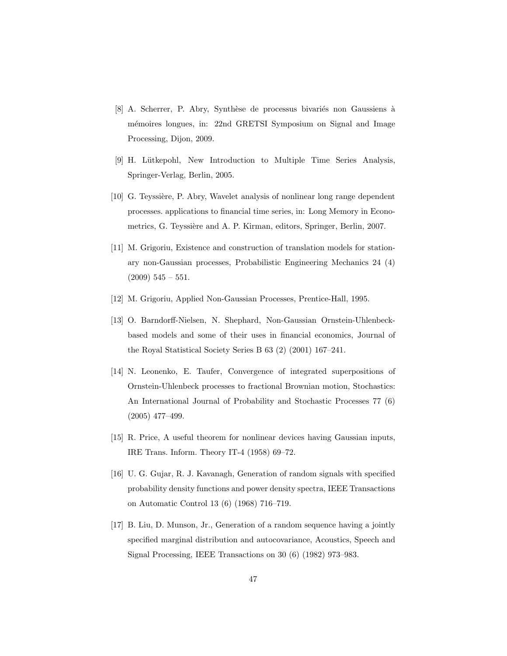- [8] A. Scherrer, P. Abry, Synthèse de processus bivariés non Gaussiens à m´emoires longues, in: 22nd GRETSI Symposium on Signal and Image Processing, Dijon, 2009.
- [9] H. Lütkepohl, New Introduction to Multiple Time Series Analysis, Springer-Verlag, Berlin, 2005.
- [10] G. Teyssière, P. Abry, Wavelet analysis of nonlinear long range dependent processes. applications to financial time series, in: Long Memory in Econometrics, G. Teyssière and A. P. Kirman, editors, Springer, Berlin, 2007.
- [11] M. Grigoriu, Existence and construction of translation models for stationary non-Gaussian processes, Probabilistic Engineering Mechanics 24 (4)  $(2009)$  545 – 551.
- [12] M. Grigoriu, Applied Non-Gaussian Processes, Prentice-Hall, 1995.
- [13] O. Barndorff-Nielsen, N. Shephard, Non-Gaussian Ornstein-Uhlenbeckbased models and some of their uses in financial economics, Journal of the Royal Statistical Society Series B 63 (2) (2001) 167–241.
- [14] N. Leonenko, E. Taufer, Convergence of integrated superpositions of Ornstein-Uhlenbeck processes to fractional Brownian motion, Stochastics: An International Journal of Probability and Stochastic Processes 77 (6) (2005) 477–499.
- [15] R. Price, A useful theorem for nonlinear devices having Gaussian inputs, IRE Trans. Inform. Theory IT-4 (1958) 69–72.
- [16] U. G. Gujar, R. J. Kavanagh, Generation of random signals with specified probability density functions and power density spectra, IEEE Transactions on Automatic Control 13 (6) (1968) 716–719.
- [17] B. Liu, D. Munson, Jr., Generation of a random sequence having a jointly specified marginal distribution and autocovariance, Acoustics, Speech and Signal Processing, IEEE Transactions on 30 (6) (1982) 973–983.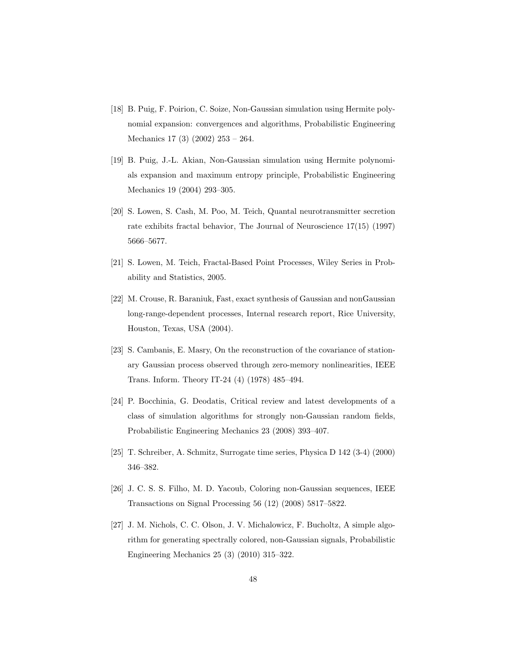- [18] B. Puig, F. Poirion, C. Soize, Non-Gaussian simulation using Hermite polynomial expansion: convergences and algorithms, Probabilistic Engineering Mechanics 17 (3) (2002) 253 – 264.
- [19] B. Puig, J.-L. Akian, Non-Gaussian simulation using Hermite polynomials expansion and maximum entropy principle, Probabilistic Engineering Mechanics 19 (2004) 293–305.
- [20] S. Lowen, S. Cash, M. Poo, M. Teich, Quantal neurotransmitter secretion rate exhibits fractal behavior, The Journal of Neuroscience 17(15) (1997) 5666–5677.
- [21] S. Lowen, M. Teich, Fractal-Based Point Processes, Wiley Series in Probability and Statistics, 2005.
- [22] M. Crouse, R. Baraniuk, Fast, exact synthesis of Gaussian and nonGaussian long-range-dependent processes, Internal research report, Rice University, Houston, Texas, USA (2004).
- [23] S. Cambanis, E. Masry, On the reconstruction of the covariance of stationary Gaussian process observed through zero-memory nonlinearities, IEEE Trans. Inform. Theory IT-24 (4) (1978) 485–494.
- [24] P. Bocchinia, G. Deodatis, Critical review and latest developments of a class of simulation algorithms for strongly non-Gaussian random fields, Probabilistic Engineering Mechanics 23 (2008) 393–407.
- [25] T. Schreiber, A. Schmitz, Surrogate time series, Physica D 142 (3-4) (2000) 346–382.
- [26] J. C. S. S. Filho, M. D. Yacoub, Coloring non-Gaussian sequences, IEEE Transactions on Signal Processing 56 (12) (2008) 5817–5822.
- [27] J. M. Nichols, C. C. Olson, J. V. Michalowicz, F. Bucholtz, A simple algorithm for generating spectrally colored, non-Gaussian signals, Probabilistic Engineering Mechanics 25 (3) (2010) 315–322.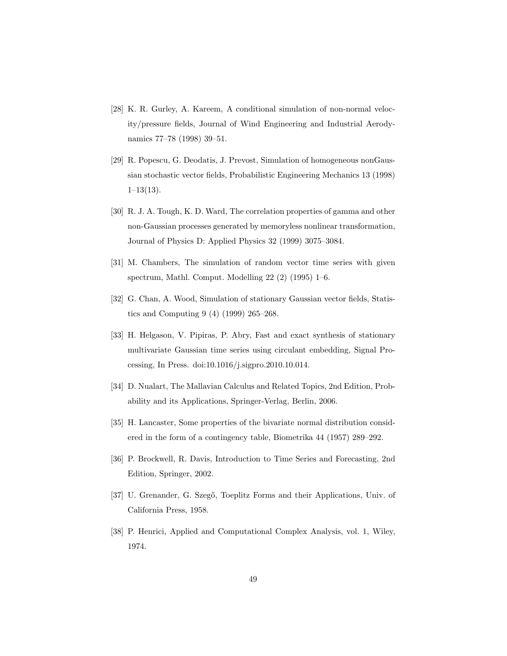- [28] K. R. Gurley, A. Kareem, A conditional simulation of non-normal velocity/pressure fields, Journal of Wind Engineering and Industrial Aerodynamics 77–78 (1998) 39–51.
- [29] R. Popescu, G. Deodatis, J. Prevost, Simulation of homogeneous nonGaussian stochastic vector fields, Probabilistic Engineering Mechanics 13 (1998)  $1-13(13)$ .
- [30] R. J. A. Tough, K. D. Ward, The correlation properties of gamma and other non-Gaussian processes generated by memoryless nonlinear transformation, Journal of Physics D: Applied Physics 32 (1999) 3075–3084.
- [31] M. Chambers, The simulation of random vector time series with given spectrum, Mathl. Comput. Modelling 22 (2) (1995) 1–6.
- [32] G. Chan, A. Wood, Simulation of stationary Gaussian vector fields, Statistics and Computing 9 (4) (1999) 265–268.
- [33] H. Helgason, V. Pipiras, P. Abry, Fast and exact synthesis of stationary multivariate Gaussian time series using circulant embedding, Signal Processing, In Press. doi:10.1016/j.sigpro.2010.10.014.
- [34] D. Nualart, The Mallavian Calculus and Related Topics, 2nd Edition, Probability and its Applications, Springer-Verlag, Berlin, 2006.
- [35] H. Lancaster, Some properties of the bivariate normal distribution considered in the form of a contingency table, Biometrika 44 (1957) 289–292.
- [36] P. Brockwell, R. Davis, Introduction to Time Series and Forecasting, 2nd Edition, Springer, 2002.
- [37] U. Grenander, G. Szegő, Toeplitz Forms and their Applications, Univ. of California Press, 1958.
- [38] P. Henrici, Applied and Computational Complex Analysis, vol. 1, Wiley, 1974.